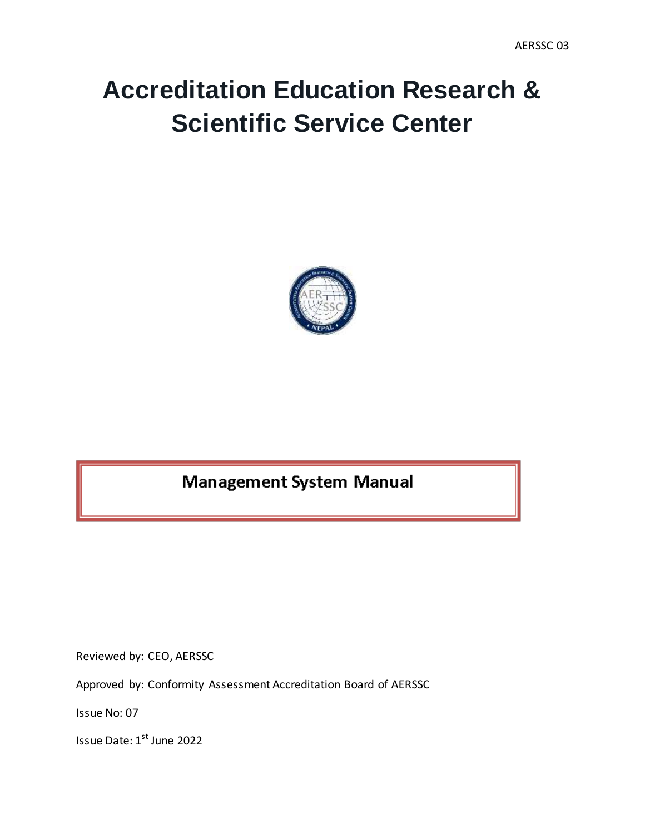# **Accreditation Education Research & Scientific Service Center**



# **Management System Manual**

Reviewed by: CEO, AERSSC

Approved by: Conformity Assessment Accreditation Board of AERSSC

Issue No: 07

Issue Date: 1st June 2022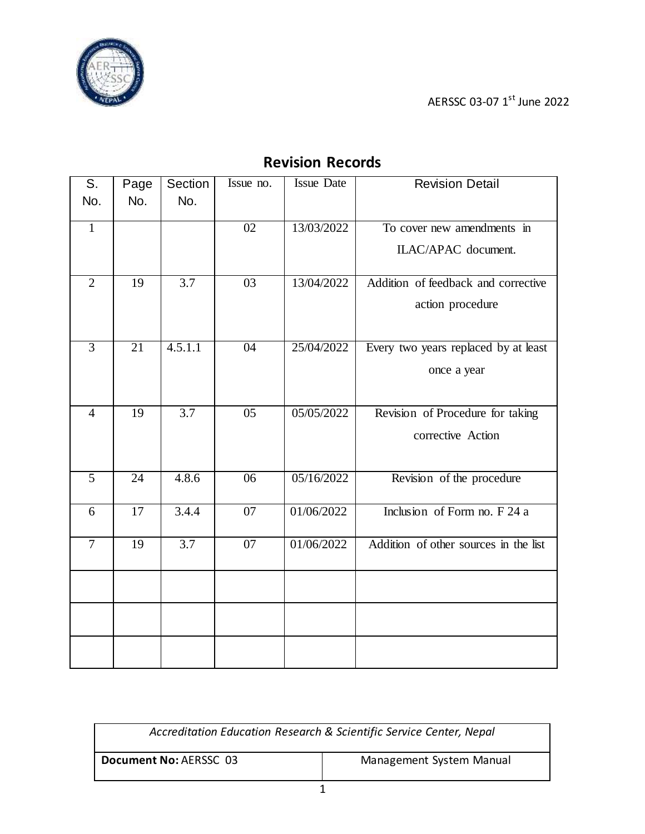



<span id="page-1-0"></span>

| S.             | Page            | Section          | Issue no.       | <b>Issue Date</b> | <b>Revision Detail</b>                |
|----------------|-----------------|------------------|-----------------|-------------------|---------------------------------------|
| No.            | No.             | No.              |                 |                   |                                       |
|                |                 |                  |                 |                   |                                       |
| $\mathbf{1}$   |                 |                  | 02              | 13/03/2022        | To cover new amendments in            |
|                |                 |                  |                 |                   | ILAC/APAC document.                   |
|                |                 |                  |                 |                   |                                       |
| $\overline{2}$ | 19              | 3.7              | 03              | 13/04/2022        | Addition of feedback and corrective   |
|                |                 |                  |                 |                   | action procedure                      |
|                |                 |                  |                 |                   |                                       |
|                |                 |                  |                 |                   |                                       |
| $\overline{3}$ | $\overline{21}$ | 4.5.1.1          | $\overline{04}$ | 25/04/2022        | Every two years replaced by at least  |
|                |                 |                  |                 |                   | once a year                           |
|                |                 |                  |                 |                   |                                       |
|                |                 |                  |                 |                   |                                       |
| $\overline{4}$ | 19              | $\overline{3.7}$ | $\overline{05}$ | 05/05/2022        | Revision of Procedure for taking      |
|                |                 |                  |                 |                   | corrective Action                     |
|                |                 |                  |                 |                   |                                       |
| $\overline{5}$ | $\overline{24}$ | 4.8.6            | $\overline{06}$ | 05/16/2022        | Revision of the procedure             |
|                |                 |                  |                 |                   |                                       |
| 6              | 17              | 3.4.4            | 07              | 01/06/2022        | Inclusion of Form no. $F$ 24 a        |
|                |                 |                  |                 |                   |                                       |
| $\overline{7}$ | 19              | 3.7              | 07              | 01/06/2022        | Addition of other sources in the list |
|                |                 |                  |                 |                   |                                       |
|                |                 |                  |                 |                   |                                       |
|                |                 |                  |                 |                   |                                       |
|                |                 |                  |                 |                   |                                       |
|                |                 |                  |                 |                   |                                       |
|                |                 |                  |                 |                   |                                       |
|                |                 |                  |                 |                   |                                       |

# **Revision Records**

| Accreditation Education Research & Scientific Service Center, Nepal |  |  |
|---------------------------------------------------------------------|--|--|
| Document No: AERSSC 03<br>Management System Manual                  |  |  |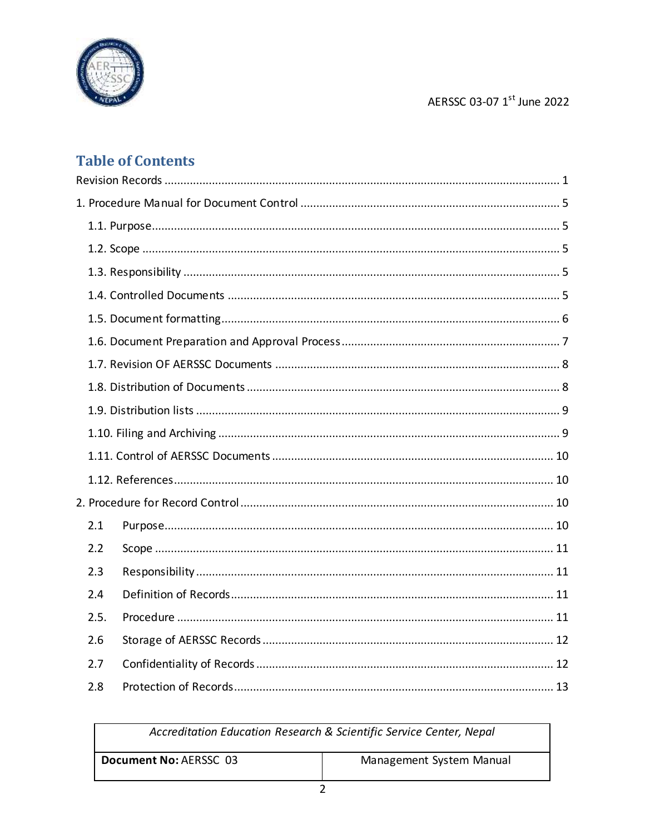

# AERSSC 03-07 1st June 2022

# **Table of Contents**

| 2.1  |  |
|------|--|
| 2.2  |  |
| 2.3  |  |
| 2.4  |  |
| 2.5. |  |
| 2.6  |  |
| 2.7  |  |
| 2.8  |  |

| Accreditation Education Research & Scientific Service Center, Nepal |                          |  |
|---------------------------------------------------------------------|--------------------------|--|
| Document No: AERSSC 03                                              | Management System Manual |  |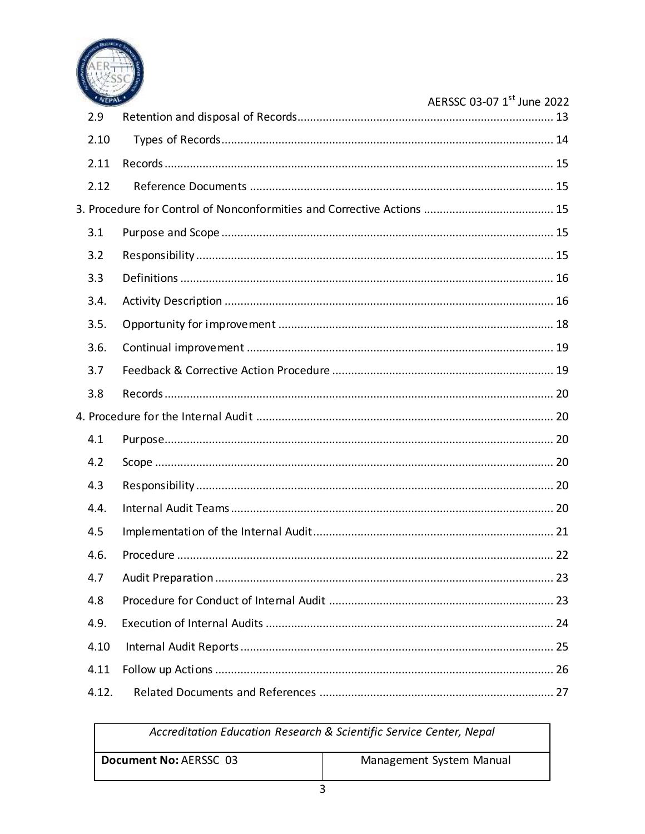

| ' VEPAL' | AERSSC 03-07 1st June 2022 |
|----------|----------------------------|
| 2.9      |                            |
| 2.10     |                            |
| 2.11     |                            |
| 2.12     |                            |
|          |                            |
| 3.1      |                            |
| 3.2      |                            |
| 3.3      |                            |
| 3.4.     |                            |
| 3.5.     |                            |
| 3.6.     |                            |
| 3.7      |                            |
| 3.8      |                            |
|          |                            |
| 4.1      |                            |
| 4.2      |                            |
| 4.3      |                            |
| 4.4.     |                            |
| 4.5      |                            |
| 4.6.     |                            |
| 4.7      |                            |
| 4.8      |                            |
| 4.9.     |                            |
| 4.10     |                            |
| 4.11     |                            |
| 4.12.    |                            |

| Accreditation Education Research & Scientific Service Center, Nepal |                          |  |
|---------------------------------------------------------------------|--------------------------|--|
| Document No: AERSSC 03                                              | Management System Manual |  |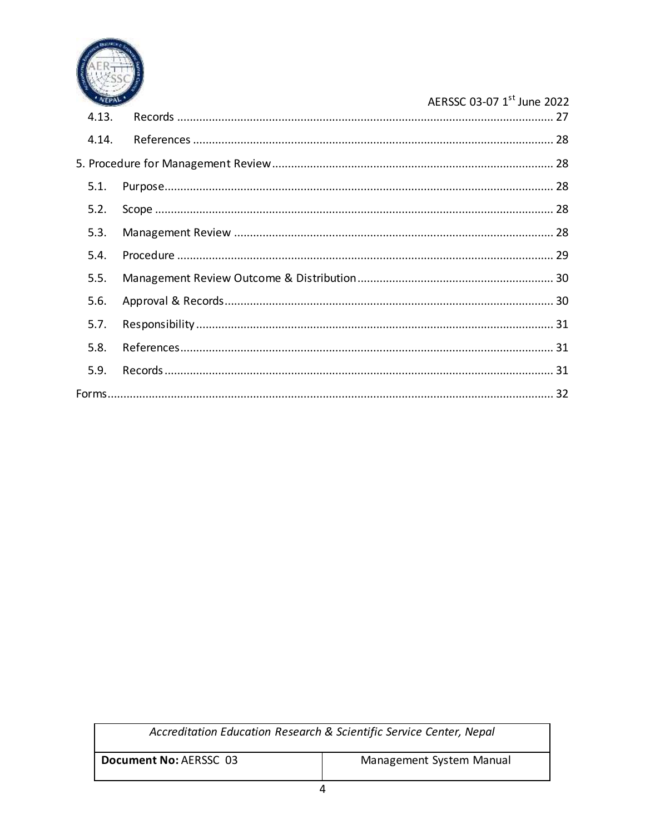

#### AERSSC 03-07 1st June 2022 4.13. 4.14.  $5.1.$  $5.2.$  $5.3.$  $5.4.$  $5.5.$  $5.6.$  $5.7.$  $5.8.$  $5.9.$

| Accreditation Education Research & Scientific Service Center, Nepal |                          |  |
|---------------------------------------------------------------------|--------------------------|--|
| Document No: AERSSC 03                                              | Management System Manual |  |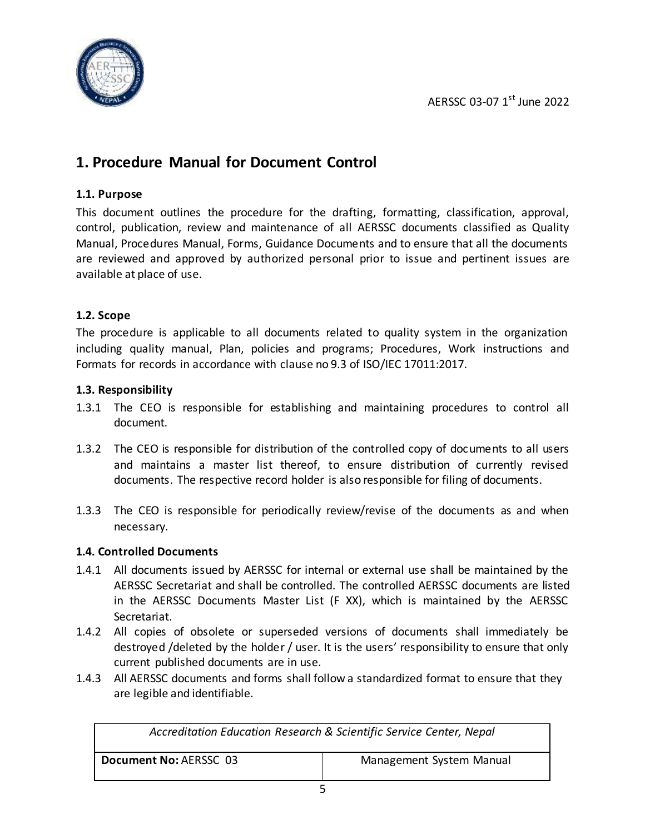

### <span id="page-5-0"></span>**1. Procedure Manual for Document Control**

#### <span id="page-5-1"></span>**1.1. Purpose**

This document outlines the procedure for the drafting, formatting, classification, approval, control, publication, review and maintenance of all AERSSC documents classified as Quality Manual, Procedures Manual, Forms, Guidance Documents and to ensure that all the documents are reviewed and approved by authorized personal prior to issue and pertinent issues are available at place of use.

#### <span id="page-5-2"></span>**1.2. Scope**

The procedure is applicable to all documents related to quality system in the organization including quality manual, Plan, policies and programs; Procedures, Work instructions and Formats for records in accordance with clause no 9.3 of ISO/IEC 17011:2017.

#### <span id="page-5-3"></span>**1.3. Responsibility**

- 1.3.1 The CEO is responsible for establishing and maintaining procedures to control all document.
- 1.3.2 The CEO is responsible for distribution of the controlled copy of documents to all users and maintains a master list thereof, to ensure distribution of currently revised documents. The respective record holder is also responsible for filing of documents.
- 1.3.3 The CEO is responsible for periodically review/revise of the documents as and when necessary.

#### <span id="page-5-4"></span>**1.4. Controlled Documents**

- 1.4.1 All documents issued by AERSSC for internal or external use shall be maintained by the AERSSC Secretariat and shall be controlled. The controlled AERSSC documents are listed in the AERSSC Documents Master List (F XX), which is maintained by the AERSSC Secretariat.
- 1.4.2 All copies of obsolete or superseded versions of documents shall immediately be destroyed /deleted by the holder / user. It is the users' responsibility to ensure that only current published documents are in use.
- 1.4.3 All AERSSC documents and forms shall follow a standardized format to ensure that they are legible and identifiable.

| Accreditation Education Research & Scientific Service Center, Nepal |                          |  |
|---------------------------------------------------------------------|--------------------------|--|
| Document No: AERSSC 03                                              | Management System Manual |  |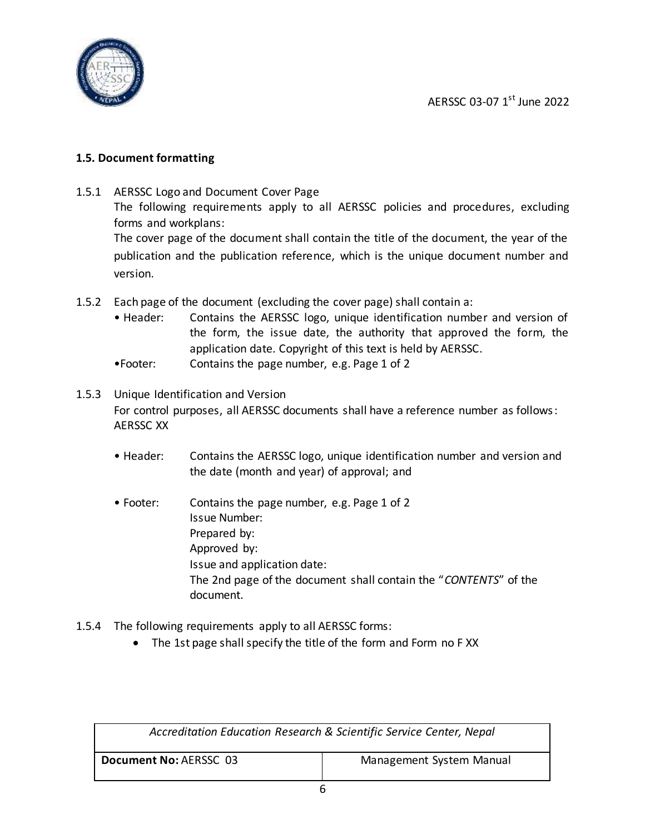

#### <span id="page-6-0"></span>**1.5. Document formatting**

- 1.5.1 AERSSC Logo and Document Cover Page The following requirements apply to all AERSSC policies and procedures, excluding forms and workplans: The cover page of the document shall contain the title of the document, the year of the publication and the publication reference, which is the unique document number and version.
- 1.5.2 Each page of the document (excluding the cover page) shall contain a:
	- Header: Contains the AERSSC logo, unique identification number and version of the form, the issue date, the authority that approved the form, the application date. Copyright of this text is held by AERSSC.
	- •Footer: Contains the page number, e.g. Page 1 of 2
- 1.5.3 Unique Identification and Version For control purposes, all AERSSC documents shall have a reference number as follows: AERSSC XX
	- Header: Contains the AERSSC logo, unique identification number and version and the date (month and year) of approval; and
	- Footer: Contains the page number, e.g. Page 1 of 2 Issue Number: Prepared by: Approved by: Issue and application date: The 2nd page of the document shall contain the "*CONTENTS*" of the document.
- 1.5.4 The following requirements apply to all AERSSC forms:
	- The 1st page shall specify the title of the form and Form no FXX

| Accreditation Education Research & Scientific Service Center, Nepal |                          |  |
|---------------------------------------------------------------------|--------------------------|--|
| Document No: AERSSC 03                                              | Management System Manual |  |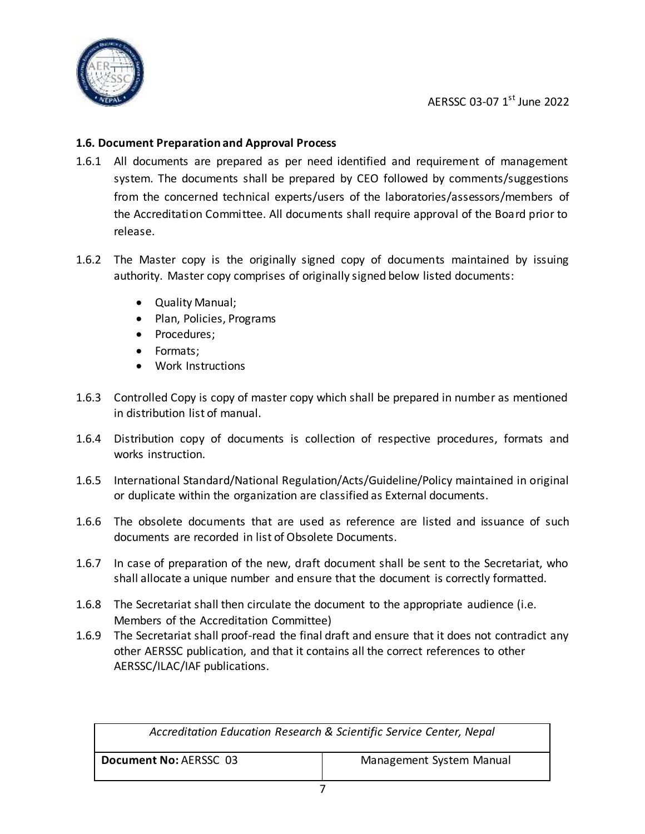

#### <span id="page-7-0"></span>**1.6. Document Preparation and Approval Process**

- 1.6.1 All documents are prepared as per need identified and requirement of management system. The documents shall be prepared by CEO followed by comments/suggestions from the concerned technical experts/users of the laboratories/assessors/members of the Accreditation Committee. All documents shall require approval of the Board prior to release.
- 1.6.2 The Master copy is the originally signed copy of documents maintained by issuing authority. Master copy comprises of originally signed below listed documents:
	- Quality Manual;
	- Plan, Policies, Programs
	- Procedures;
	- Formats;
	- Work Instructions
- 1.6.3 Controlled Copy is copy of master copy which shall be prepared in number as mentioned in distribution list of manual.
- 1.6.4 Distribution copy of documents is collection of respective procedures, formats and works instruction.
- 1.6.5 International Standard/National Regulation/Acts/Guideline/Policy maintained in original or duplicate within the organization are classified as External documents.
- 1.6.6 The obsolete documents that are used as reference are listed and issuance of such documents are recorded in list of Obsolete Documents.
- 1.6.7 In case of preparation of the new, draft document shall be sent to the Secretariat, who shall allocate a unique number and ensure that the document is correctly formatted.
- 1.6.8 The Secretariat shall then circulate the document to the appropriate audience (i.e. Members of the Accreditation Committee)
- 1.6.9 The Secretariat shall proof-read the final draft and ensure that it does not contradict any other AERSSC publication, and that it contains all the correct references to other AERSSC/ILAC/IAF publications.

| Accreditation Education Research & Scientific Service Center, Nepal |                          |  |
|---------------------------------------------------------------------|--------------------------|--|
| Document No: AERSSC 03                                              | Management System Manual |  |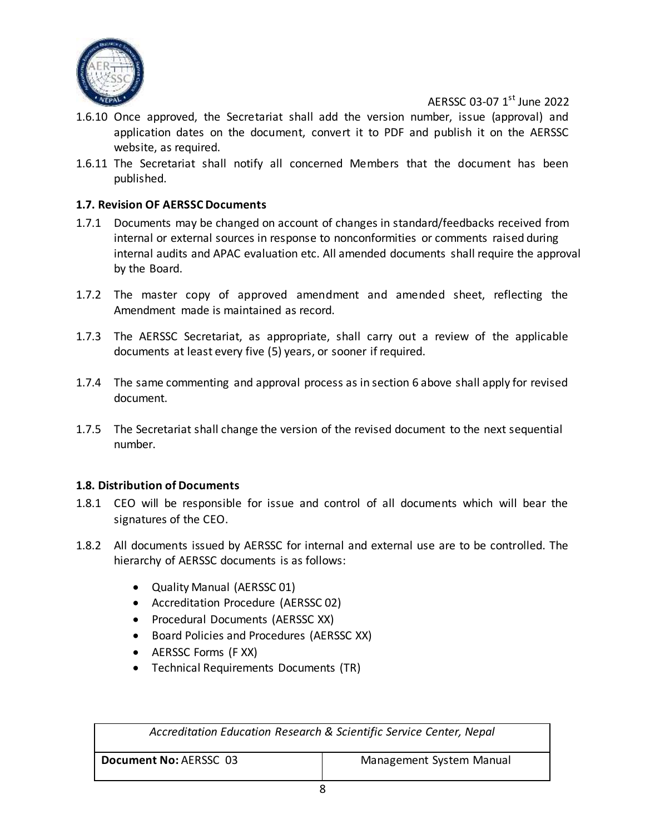

- 1.6.10 Once approved, the Secretariat shall add the version number, issue (approval) and application dates on the document, convert it to PDF and publish it on the AERSSC website, as required.
- 1.6.11 The Secretariat shall notify all concerned Members that the document has been published.

#### <span id="page-8-0"></span>**1.7. Revision OF AERSSC Documents**

- 1.7.1 Documents may be changed on account of changes in standard/feedbacks received from internal or external sources in response to nonconformities or comments raised during internal audits and APAC evaluation etc. All amended documents shall require the approval by the Board.
- 1.7.2 The master copy of approved amendment and amended sheet, reflecting the Amendment made is maintained as record.
- 1.7.3 The AERSSC Secretariat, as appropriate, shall carry out a review of the applicable documents at least every five (5) years, or sooner if required.
- 1.7.4 The same commenting and approval process as in section 6 above shall apply for revised document.
- 1.7.5 The Secretariat shall change the version of the revised document to the next sequential number.

#### <span id="page-8-1"></span>**1.8. Distribution of Documents**

- 1.8.1 CEO will be responsible for issue and control of all documents which will bear the signatures of the CEO.
- 1.8.2 All documents issued by AERSSC for internal and external use are to be controlled. The hierarchy of AERSSC documents is as follows:
	- Quality Manual (AERSSC 01)
	- Accreditation Procedure (AERSSC 02)
	- Procedural Documents (AERSSC XX)
	- Board Policies and Procedures (AERSSC XX)
	- AERSSC Forms (F XX)
	- Technical Requirements Documents (TR)

| Accreditation Education Research & Scientific Service Center, Nepal |                          |  |
|---------------------------------------------------------------------|--------------------------|--|
| Document No: AERSSC 03                                              | Management System Manual |  |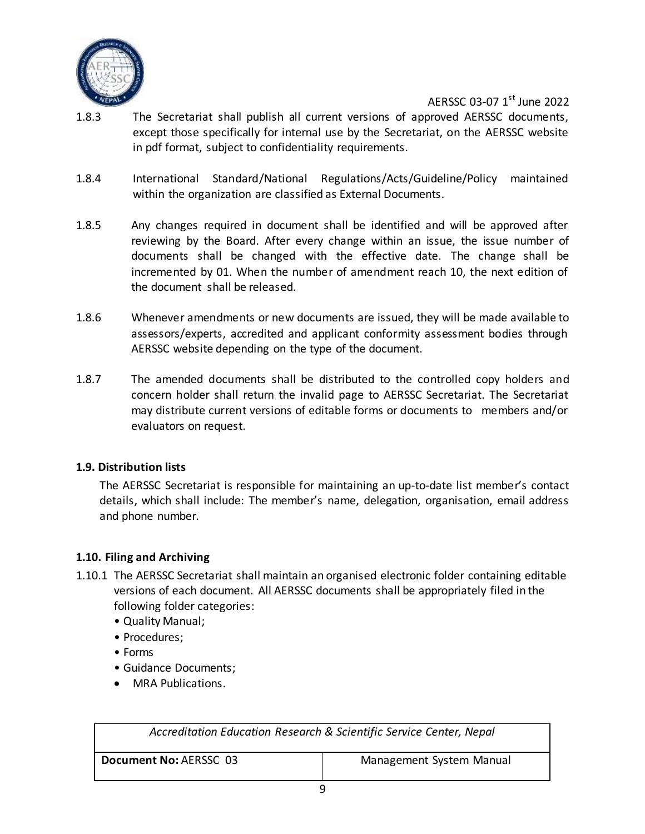

- 1.8.3 The Secretariat shall publish all current versions of approved AERSSC documents, except those specifically for internal use by the Secretariat, on the AERSSC website in pdf format, subject to confidentiality requirements.
- 1.8.4 International Standard/National Regulations/Acts/Guideline/Policy maintained within the organization are classified as External Documents.
- 1.8.5 Any changes required in document shall be identified and will be approved after reviewing by the Board. After every change within an issue, the issue number of documents shall be changed with the effective date. The change shall be incremented by 01. When the number of amendment reach 10, the next edition of the document shall be released.
- 1.8.6 Whenever amendments or new documents are issued, they will be made available to assessors/experts, accredited and applicant conformity assessment bodies through AERSSC website depending on the type of the document.
- 1.8.7 The amended documents shall be distributed to the controlled copy holders and concern holder shall return the invalid page to AERSSC Secretariat. The Secretariat may distribute current versions of editable forms or documents to members and/or evaluators on request.

#### <span id="page-9-0"></span>**1.9. Distribution lists**

The AERSSC Secretariat is responsible for maintaining an up-to-date list member's contact details, which shall include: The member's name, delegation, organisation, email address and phone number.

#### <span id="page-9-1"></span>**1.10. Filing and Archiving**

- 1.10.1 The AERSSC Secretariat shall maintain an organised electronic folder containing editable versions of each document. All AERSSC documents shall be appropriately filed in the following folder categories:
	- Quality Manual;
	- Procedures;
	- Forms
	- Guidance Documents;
	- MRA Publications.

| Accreditation Education Research & Scientific Service Center, Nepal |                          |  |
|---------------------------------------------------------------------|--------------------------|--|
| Document No: AERSSC 03                                              | Management System Manual |  |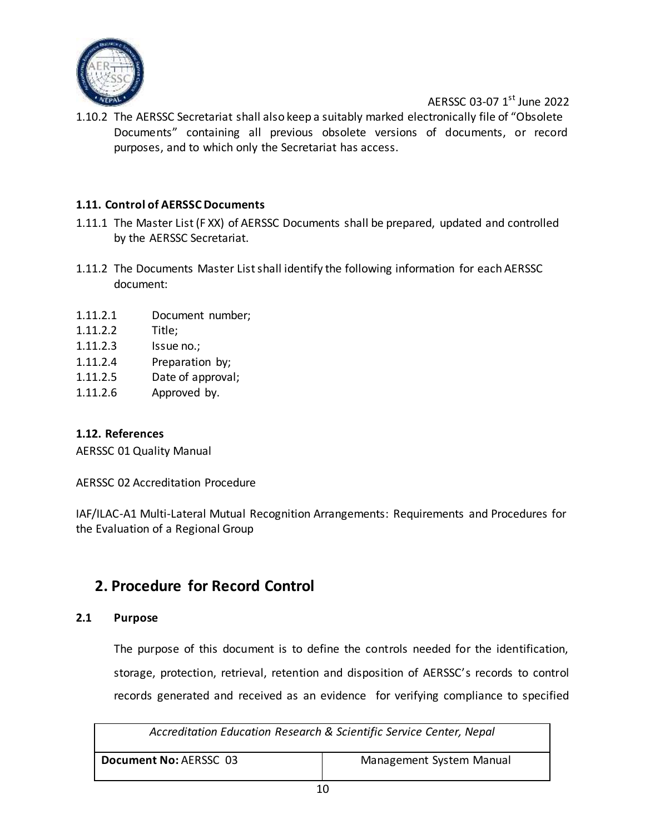

1.10.2 The AERSSC Secretariat shall also keep a suitably marked electronically file of "Obsolete Documents" containing all previous obsolete versions of documents, or record purposes, and to which only the Secretariat has access.

#### <span id="page-10-0"></span>**1.11. Control of AERSSC Documents**

- 1.11.1 The Master List (F XX) of AERSSC Documents shall be prepared, updated and controlled by the AERSSC Secretariat.
- 1.11.2 The Documents Master List shall identify the following information for each AERSSC document:
- 1.11.2.1 Document number;
- 1.11.2.2 Title;
- 1.11.2.3 Issue no.;
- 1.11.2.4 Preparation by;
- 1.11.2.5 Date of approval;
- 1.11.2.6 Approved by.

#### <span id="page-10-1"></span>**1.12. References**

AERSSC 01 Quality Manual

AERSSC 02 Accreditation Procedure

IAF/ILAC-A1 Multi-Lateral Mutual Recognition Arrangements: Requirements and Procedures for the Evaluation of a Regional Group

### <span id="page-10-2"></span>**2. Procedure for Record Control**

#### <span id="page-10-3"></span>**2.1 Purpose**

The purpose of this document is to define the controls needed for the identification, storage, protection, retrieval, retention and disposition of AERSSC's records to control records generated and received as an evidence for verifying compliance to specified

| Accreditation Education Research & Scientific Service Center, Nepal |                          |
|---------------------------------------------------------------------|--------------------------|
| Document No: AERSSC 03                                              | Management System Manual |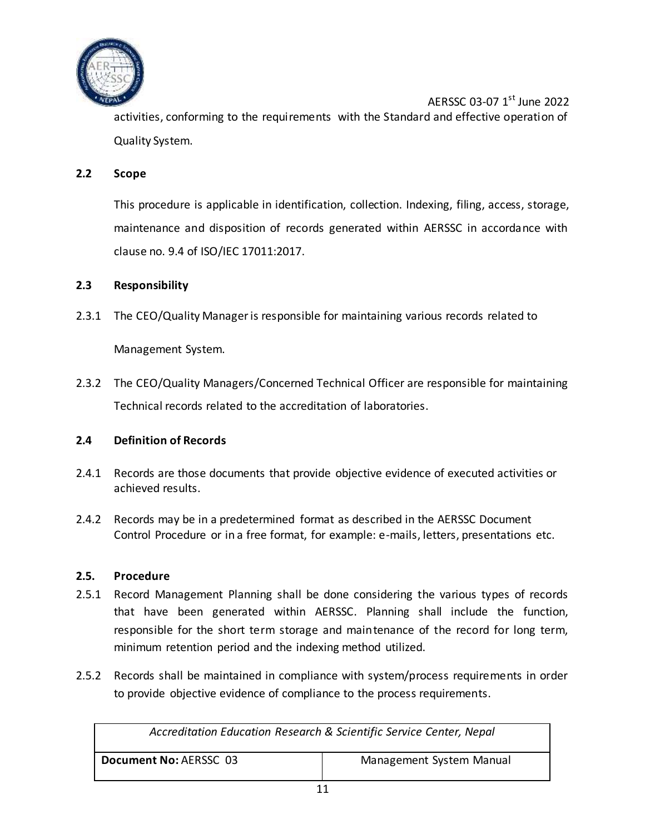

AERSSC 03-07 1<sup>st</sup> June 2022 activities, conforming to the requirements with the Standard and effective operation of Quality System.

#### <span id="page-11-0"></span>**2.2 Scope**

This procedure is applicable in identification, collection. Indexing, filing, access, storage, maintenance and disposition of records generated within AERSSC in accordance with clause no. 9.4 of ISO/IEC 17011:2017.

#### <span id="page-11-1"></span>**2.3 Responsibility**

2.3.1 The CEO/Quality Manager is responsible for maintaining various records related to

Management System.

2.3.2 The CEO/Quality Managers/Concerned Technical Officer are responsible for maintaining Technical records related to the accreditation of laboratories.

#### <span id="page-11-2"></span>**2.4 Definition of Records**

- 2.4.1 Records are those documents that provide objective evidence of executed activities or achieved results.
- 2.4.2 Records may be in a predetermined format as described in the AERSSC Document Control Procedure or in a free format, for example: e-mails, letters, presentations etc.

#### <span id="page-11-3"></span>**2.5. Procedure**

- 2.5.1 Record Management Planning shall be done considering the various types of records that have been generated within AERSSC. Planning shall include the function, responsible for the short term storage and maintenance of the record for long term, minimum retention period and the indexing method utilized.
- 2.5.2 Records shall be maintained in compliance with system/process requirements in order to provide objective evidence of compliance to the process requirements.

| Accreditation Education Research & Scientific Service Center, Nepal |                          |
|---------------------------------------------------------------------|--------------------------|
| Document No: AERSSC 03                                              | Management System Manual |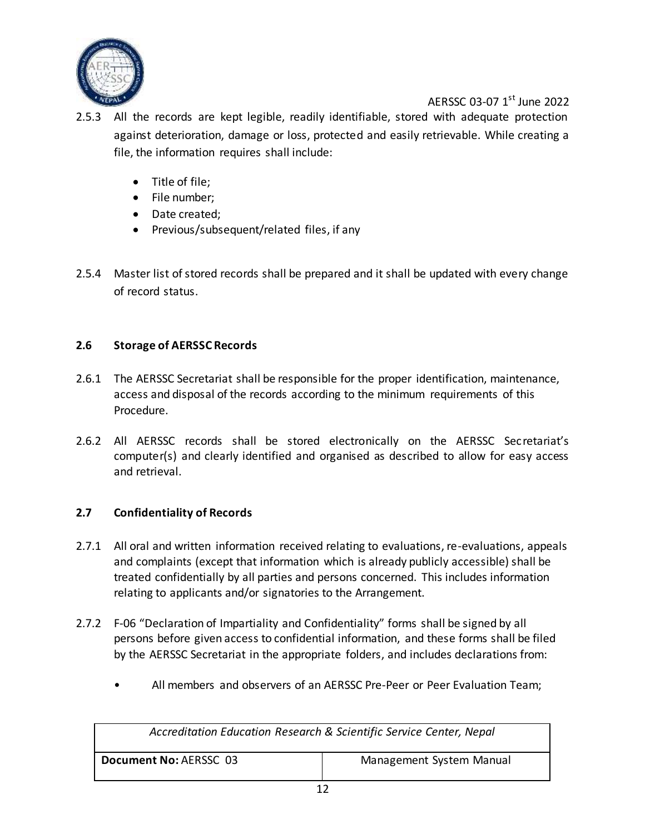

- 2.5.3 All the records are kept legible, readily identifiable, stored with adequate protection against deterioration, damage or loss, protected and easily retrievable. While creating a file, the information requires shall include:
	- Title of file;
	- File number;
	- Date created;
	- Previous/subsequent/related files, if any
- 2.5.4 Master list of stored records shall be prepared and it shall be updated with every change of record status.

#### <span id="page-12-0"></span>**2.6 Storage of AERSSC Records**

- 2.6.1 The AERSSC Secretariat shall be responsible for the proper identification, maintenance, access and disposal of the records according to the minimum requirements of this Procedure.
- 2.6.2 All AERSSC records shall be stored electronically on the AERSSC Secretariat's computer(s) and clearly identified and organised as described to allow for easy access and retrieval.

#### <span id="page-12-1"></span>**2.7 Confidentiality of Records**

- 2.7.1 All oral and written information received relating to evaluations, re-evaluations, appeals and complaints (except that information which is already publicly accessible) shall be treated confidentially by all parties and persons concerned. This includes information relating to applicants and/or signatories to the Arrangement.
- 2.7.2 F-06 "Declaration of Impartiality and Confidentiality" forms shall be signed by all persons before given access to confidential information, and these forms shall be filed by the AERSSC Secretariat in the appropriate folders, and includes declarations from:
	- All members and observers of an AERSSC Pre-Peer or Peer Evaluation Team;

| Accreditation Education Research & Scientific Service Center, Nepal |                          |
|---------------------------------------------------------------------|--------------------------|
| Document No: AERSSC 03                                              | Management System Manual |
| . .                                                                 |                          |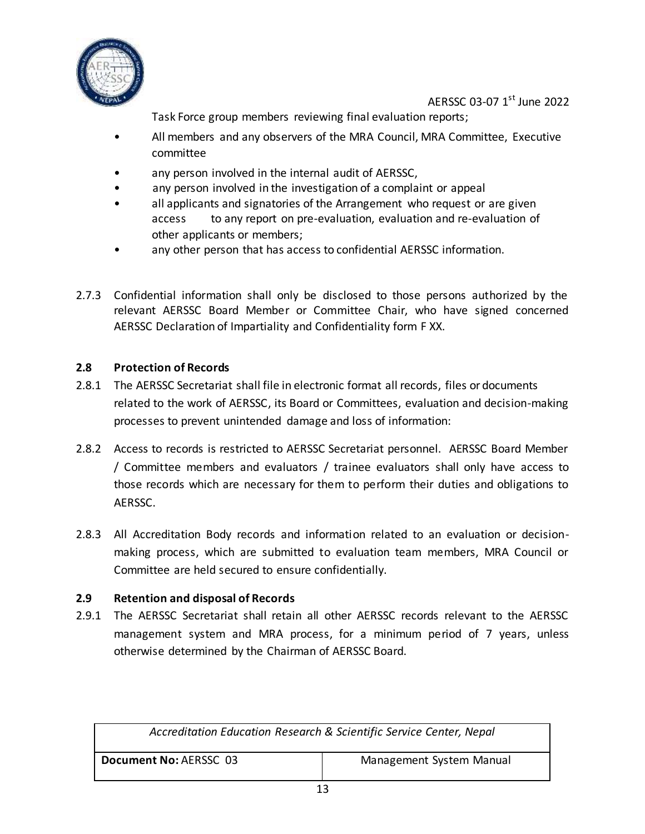

Task Force group members reviewing final evaluation reports;

- All members and any observers of the MRA Council, MRA Committee, Executive committee
- any person involved in the internal audit of AERSSC,
- any person involved in the investigation of a complaint or appeal
- all applicants and signatories of the Arrangement who request or are given access to any report on pre-evaluation, evaluation and re-evaluation of other applicants or members;
- any other person that has access to confidential AERSSC information.
- 2.7.3 Confidential information shall only be disclosed to those persons authorized by the relevant AERSSC Board Member or Committee Chair, who have signed concerned AERSSC Declaration of Impartiality and Confidentiality form F XX.

#### <span id="page-13-0"></span>**2.8 Protection of Records**

- 2.8.1 The AERSSC Secretariat shall file in electronic format all records, files or documents related to the work of AERSSC, its Board or Committees, evaluation and decision-making processes to prevent unintended damage and loss of information:
- 2.8.2 Access to records is restricted to AERSSC Secretariat personnel. AERSSC Board Member / Committee members and evaluators / trainee evaluators shall only have access to those records which are necessary for them to perform their duties and obligations to AERSSC.
- 2.8.3 All Accreditation Body records and information related to an evaluation or decisionmaking process, which are submitted to evaluation team members, MRA Council or Committee are held secured to ensure confidentially.

#### <span id="page-13-1"></span>**2.9 Retention and disposal of Records**

2.9.1 The AERSSC Secretariat shall retain all other AERSSC records relevant to the AERSSC management system and MRA process, for a minimum period of 7 years, unless otherwise determined by the Chairman of AERSSC Board.

| Accreditation Education Research & Scientific Service Center, Nepal |                          |
|---------------------------------------------------------------------|--------------------------|
| Document No: AERSSC 03                                              | Management System Manual |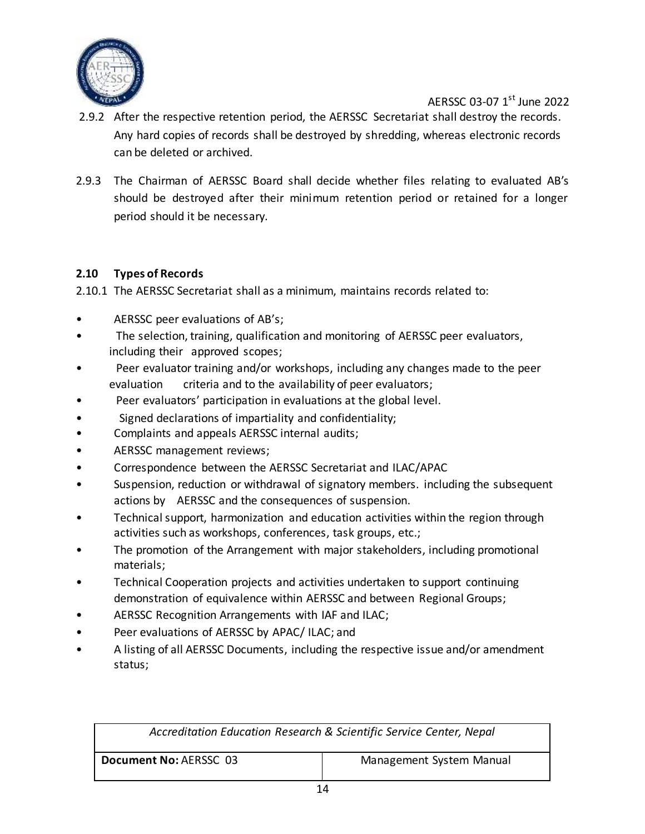

- 2.9.2 After the respective retention period, the AERSSC Secretariat shall destroy the records. Any hard copies of records shall be destroyed by shredding, whereas electronic records can be deleted or archived.
- 2.9.3 The Chairman of AERSSC Board shall decide whether files relating to evaluated AB's should be destroyed after their minimum retention period or retained for a longer period should it be necessary.

#### <span id="page-14-0"></span>**2.10 Types of Records**

2.10.1 The AERSSC Secretariat shall as a minimum, maintains records related to:

- AERSSC peer evaluations of AB's;
- The selection, training, qualification and monitoring of AERSSC peer evaluators, including their approved scopes;
- Peer evaluator training and/or workshops, including any changes made to the peer evaluation criteria and to the availability of peer evaluators;
- Peer evaluators' participation in evaluations at the global level.
- Signed declarations of impartiality and confidentiality;
- Complaints and appeals AERSSC internal audits;
- AERSSC management reviews;
- Correspondence between the AERSSC Secretariat and ILAC/APAC
- Suspension, reduction or withdrawal of signatory members. including the subsequent actions by AERSSC and the consequences of suspension.
- Technical support, harmonization and education activities within the region through activities such as workshops, conferences, task groups, etc.;
- The promotion of the Arrangement with major stakeholders, including promotional materials;
- Technical Cooperation projects and activities undertaken to support continuing demonstration of equivalence within AERSSC and between Regional Groups;
- AERSSC Recognition Arrangements with IAF and ILAC;
- Peer evaluations of AERSSC by APAC/ ILAC; and
- A listing of all AERSSC Documents, including the respective issue and/or amendment status;

| Accreditation Education Research & Scientific Service Center, Nepal |                          |
|---------------------------------------------------------------------|--------------------------|
| Document No: AERSSC 03                                              | Management System Manual |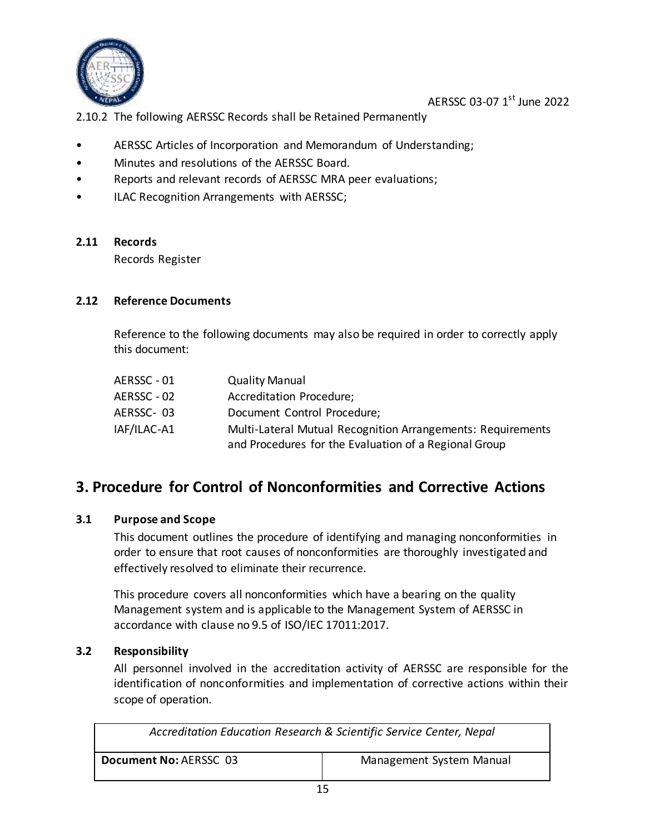

2.10.2 The following AERSSC Records shall be Retained Permanently

- AERSSC Articles of Incorporation and Memorandum of Understanding;
- Minutes and resolutions of the AERSSC Board.
- Reports and relevant records of AERSSC MRA peer evaluations;
- ILAC Recognition Arrangements with AERSSC;

#### <span id="page-15-0"></span>**2.11 Records**

Records Register

#### <span id="page-15-1"></span>**2.12 Reference Documents**

Reference to the following documents may also be required in order to correctly apply this document:

| AERSSC - 01 | <b>Quality Manual</b>                                       |
|-------------|-------------------------------------------------------------|
| AERSSC - 02 | Accreditation Procedure;                                    |
| AERSSC-03   | Document Control Procedure;                                 |
| IAF/ILAC-A1 | Multi-Lateral Mutual Recognition Arrangements: Requirements |
|             | and Procedures for the Evaluation of a Regional Group       |

### <span id="page-15-2"></span>**3. Procedure for Control of Nonconformities and Corrective Actions**

#### <span id="page-15-3"></span>**3.1 Purpose and Scope**

This document outlines the procedure of identifying and managing nonconformities in order to ensure that root causes of nonconformities are thoroughly investigated and effectively resolved to eliminate their recurrence.

This procedure covers all nonconformities which have a bearing on the quality Management system and is applicable to the Management System of AERSSC in accordance with clause no 9.5 of ISO/IEC 17011:2017.

#### <span id="page-15-4"></span>**3.2 Responsibility**

All personnel involved in the accreditation activity of AERSSC are responsible for the identification of nonconformities and implementation of corrective actions within their scope of operation.

| Accreditation Education Research & Scientific Service Center, Nepal |                          |
|---------------------------------------------------------------------|--------------------------|
| Document No: AERSSC 03                                              | Management System Manual |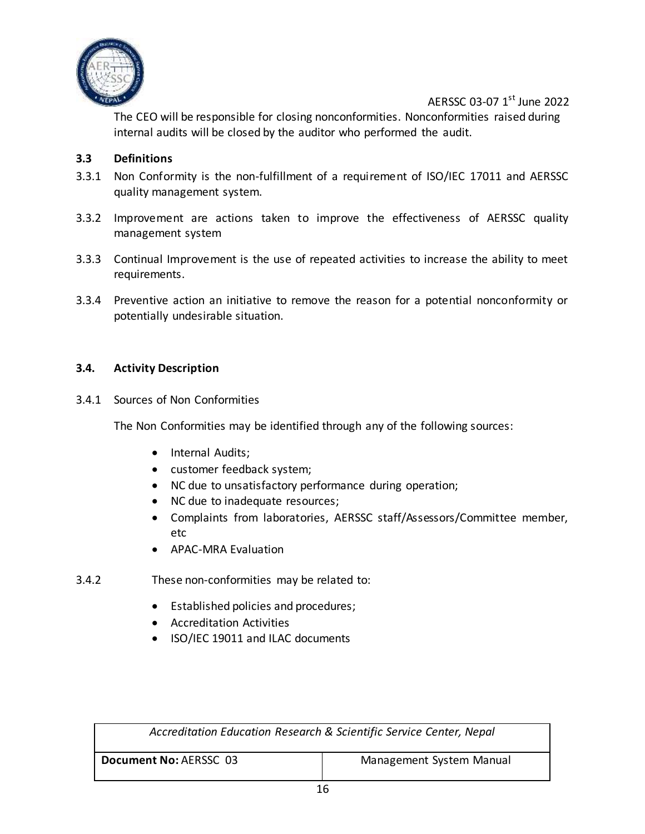

The CEO will be responsible for closing nonconformities. Nonconformities raised during internal audits will be closed by the auditor who performed the audit.

#### <span id="page-16-0"></span>**3.3 Definitions**

- 3.3.1 Non Conformity is the non-fulfillment of a requirement of ISO/IEC 17011 and AERSSC quality management system.
- 3.3.2 Improvement are actions taken to improve the effectiveness of AERSSC quality management system
- 3.3.3 Continual Improvement is the use of repeated activities to increase the ability to meet requirements.
- 3.3.4 Preventive action an initiative to remove the reason for a potential nonconformity or potentially undesirable situation.

#### <span id="page-16-1"></span>**3.4. Activity Description**

3.4.1 Sources of Non Conformities

The Non Conformities may be identified through any of the following sources:

- Internal Audits;
- customer feedback system;
- NC due to unsatisfactory performance during operation;
- NC due to inadequate resources;
- Complaints from laboratories, AERSSC staff/Assessors/Committee member, etc
- APAC-MRA Evaluation
- 3.4.2 These non-conformities may be related to:
	- Established policies and procedures;
	- Accreditation Activities
	- ISO/IEC 19011 and ILAC documents

| Accreditation Education Research & Scientific Service Center, Nepal |                          |
|---------------------------------------------------------------------|--------------------------|
| Document No: AERSSC 03                                              | Management System Manual |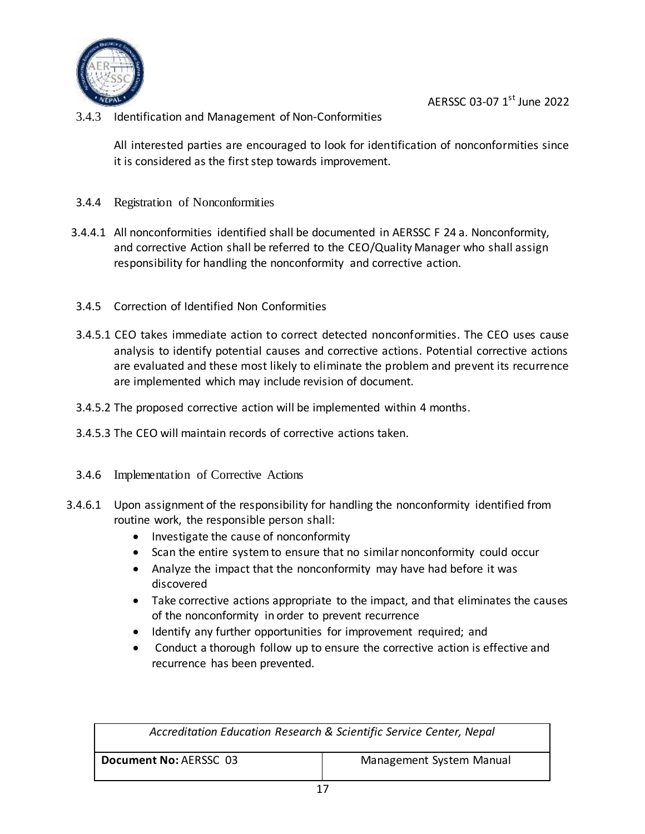

3.4.3 Identification and Management of Non-Conformities

All interested parties are encouraged to look for identification of nonconformities since it is considered as the first step towards improvement.

- 3.4.4 Registration of Nonconformities
- 3.4.4.1 All nonconformities identified shall be documented in AERSSC F 24 a. Nonconformity, and corrective Action shall be referred to the CEO/Quality Manager who shall assign responsibility for handling the nonconformity and corrective action.
- 3.4.5 Correction of Identified Non Conformities
- 3.4.5.1 CEO takes immediate action to correct detected nonconformities. The CEO uses cause analysis to identify potential causes and corrective actions. Potential corrective actions are evaluated and these most likely to eliminate the problem and prevent its recurrence are implemented which may include revision of document.
- 3.4.5.2 The proposed corrective action will be implemented within 4 months.
- 3.4.5.3 The CEO will maintain records of corrective actions taken.
- 3.4.6 Implementation of Corrective Actions
- 3.4.6.1 Upon assignment of the responsibility for handling the nonconformity identified from routine work, the responsible person shall:
	- Investigate the cause of nonconformity
	- Scan the entire system to ensure that no similar nonconformity could occur
	- Analyze the impact that the nonconformity may have had before it was discovered
	- Take corrective actions appropriate to the impact, and that eliminates the causes of the nonconformity in order to prevent recurrence
	- Identify any further opportunities for improvement required; and
	- Conduct a thorough follow up to ensure the corrective action is effective and recurrence has been prevented.

| Accreditation Education Research & Scientific Service Center, Nepal |                          |
|---------------------------------------------------------------------|--------------------------|
| Document No: AERSSC 03                                              | Management System Manual |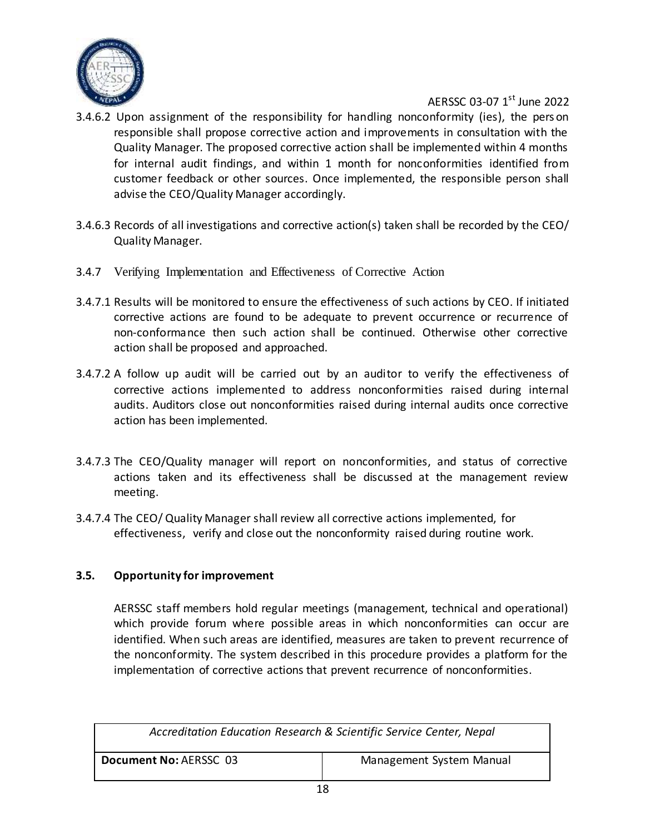

- 3.4.6.2 Upon assignment of the responsibility for handling nonconformity (ies), the pers on responsible shall propose corrective action and improvements in consultation with the Quality Manager. The proposed corrective action shall be implemented within 4 months for internal audit findings, and within 1 month for nonconformities identified from customer feedback or other sources. Once implemented, the responsible person shall advise the CEO/Quality Manager accordingly.
- 3.4.6.3 Records of all investigations and corrective action(s) taken shall be recorded by the CEO/ Quality Manager.
- 3.4.7 Verifying Implementation and Effectiveness of Corrective Action
- 3.4.7.1 Results will be monitored to ensure the effectiveness of such actions by CEO. If initiated corrective actions are found to be adequate to prevent occurrence or recurrence of non-conformance then such action shall be continued. Otherwise other corrective action shall be proposed and approached.
- 3.4.7.2 A follow up audit will be carried out by an auditor to verify the effectiveness of corrective actions implemented to address nonconformities raised during internal audits. Auditors close out nonconformities raised during internal audits once corrective action has been implemented.
- 3.4.7.3 The CEO/Quality manager will report on nonconformities, and status of corrective actions taken and its effectiveness shall be discussed at the management review meeting.
- 3.4.7.4 The CEO/ Quality Manager shall review all corrective actions implemented, for effectiveness, verify and close out the nonconformity raised during routine work.

#### <span id="page-18-0"></span>**3.5. Opportunity for improvement**

AERSSC staff members hold regular meetings (management, technical and operational) which provide forum where possible areas in which nonconformities can occur are identified. When such areas are identified, measures are taken to prevent recurrence of the nonconformity. The system described in this procedure provides a platform for the implementation of corrective actions that prevent recurrence of nonconformities.

| Accreditation Education Research & Scientific Service Center, Nepal |                          |
|---------------------------------------------------------------------|--------------------------|
| Document No: AERSSC 03                                              | Management System Manual |
| - -                                                                 |                          |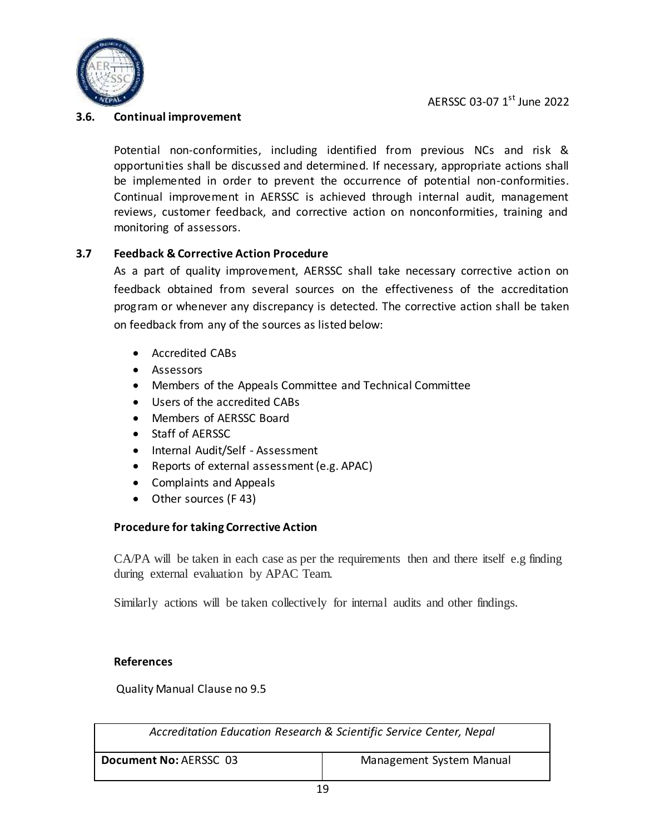

#### <span id="page-19-0"></span>**3.6. Continual improvement**

Potential non-conformities, including identified from previous NCs and risk & opportunities shall be discussed and determined. If necessary, appropriate actions shall be implemented in order to prevent the occurrence of potential non-conformities. Continual improvement in AERSSC is achieved through internal audit, management reviews, customer feedback, and corrective action on nonconformities, training and monitoring of assessors.

#### <span id="page-19-1"></span>**3.7 Feedback & Corrective Action Procedure**

As a part of quality improvement, AERSSC shall take necessary corrective action on feedback obtained from several sources on the effectiveness of the accreditation program or whenever any discrepancy is detected. The corrective action shall be taken on feedback from any of the sources as listed below:

- Accredited CABs
- Assessors
- Members of the Appeals Committee and Technical Committee
- Users of the accredited CABs
- Members of AERSSC Board
- Staff of AERSSC
- Internal Audit/Self Assessment
- Reports of external assessment (e.g. APAC)
- Complaints and Appeals
- Other sources (F 43)

#### **Procedure for taking Corrective Action**

CA/PA will be taken in each case as per the requirements then and there itself e.g finding during external evaluation by APAC Team.

Similarly actions will be taken collectively for internal audits and other findings.

#### **References**

Quality Manual Clause no 9.5

| Accreditation Education Research & Scientific Service Center, Nepal |                          |
|---------------------------------------------------------------------|--------------------------|
| Document No: AERSSC 03                                              | Management System Manual |
| 1 O                                                                 |                          |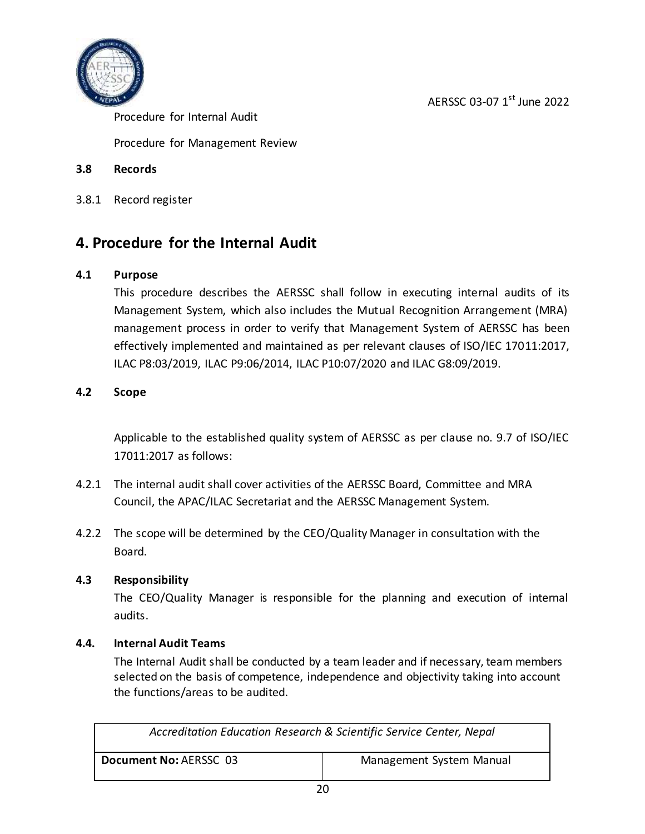



Procedure for Internal Audit

Procedure for Management Review

#### <span id="page-20-0"></span>**3.8 Records**

3.8.1 Record register

### <span id="page-20-1"></span>**4. Procedure for the Internal Audit**

#### <span id="page-20-2"></span>**4.1 Purpose**

This procedure describes the AERSSC shall follow in executing internal audits of its Management System, which also includes the Mutual Recognition Arrangement (MRA) management process in order to verify that Management System of AERSSC has been effectively implemented and maintained as per relevant clauses of ISO/IEC 17011:2017, ILAC P8:03/2019, ILAC P9:06/2014, ILAC P10:07/2020 and ILAC G8:09/2019.

#### <span id="page-20-3"></span>**4.2 Scope**

Applicable to the established quality system of AERSSC as per clause no. 9.7 of ISO/IEC 17011:2017 as follows:

- 4.2.1 The internal audit shall cover activities of the AERSSC Board, Committee and MRA Council, the APAC/ILAC Secretariat and the AERSSC Management System.
- 4.2.2 The scope will be determined by the CEO/Quality Manager in consultation with the Board.

#### <span id="page-20-4"></span>**4.3 Responsibility**

The CEO/Quality Manager is responsible for the planning and execution of internal audits.

#### <span id="page-20-5"></span>**4.4. Internal Audit Teams**

The Internal Audit shall be conducted by a team leader and if necessary, team members selected on the basis of competence, independence and objectivity taking into account the functions/areas to be audited.

| Accreditation Education Research & Scientific Service Center, Nepal |                          |
|---------------------------------------------------------------------|--------------------------|
| Document No: AERSSC 03                                              | Management System Manual |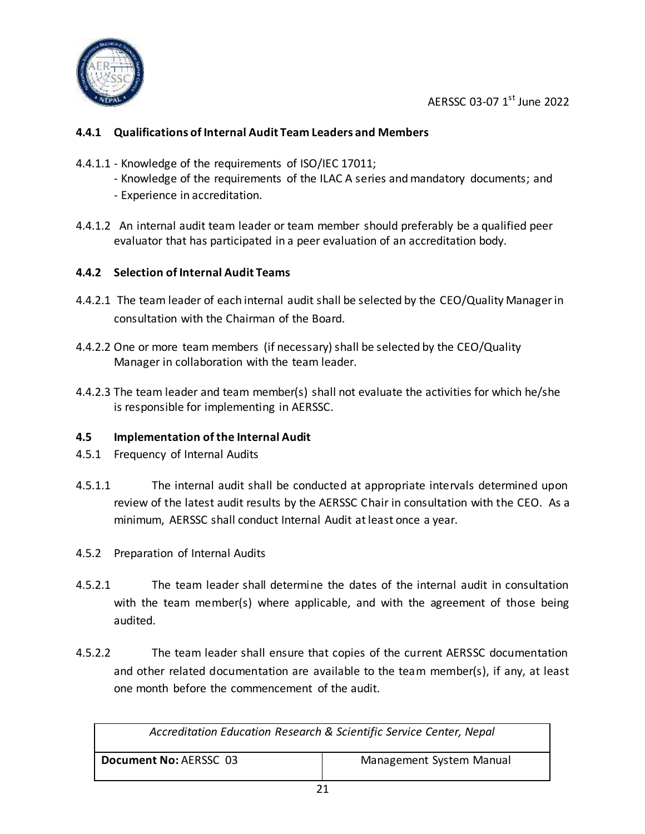

#### **4.4.1 Qualifications of Internal Audit Team Leaders and Members**

- 4.4.1.1 Knowledge of the requirements of ISO/IEC 17011;
	- Knowledge of the requirements of the ILAC A series and mandatory documents; and
	- Experience in accreditation.
- 4.4.1.2 An internal audit team leader or team member should preferably be a qualified peer evaluator that has participated in a peer evaluation of an accreditation body.

#### **4.4.2 Selection of Internal Audit Teams**

- 4.4.2.1 The team leader of each internal audit shall be selected by the CEO/Quality Manager in consultation with the Chairman of the Board.
- 4.4.2.2 One or more team members (if necessary) shall be selected by the CEO/Quality Manager in collaboration with the team leader.
- 4.4.2.3 The team leader and team member(s) shall not evaluate the activities for which he/she is responsible for implementing in AERSSC.

#### <span id="page-21-0"></span>**4.5 Implementation of the Internal Audit**

- 4.5.1 Frequency of Internal Audits
- 4.5.1.1 The internal audit shall be conducted at appropriate intervals determined upon review of the latest audit results by the AERSSC Chair in consultation with the CEO. As a minimum, AERSSC shall conduct Internal Audit at least once a year.
- 4.5.2 Preparation of Internal Audits
- 4.5.2.1 The team leader shall determine the dates of the internal audit in consultation with the team member(s) where applicable, and with the agreement of those being audited.
- 4.5.2.2 The team leader shall ensure that copies of the current AERSSC documentation and other related documentation are available to the team member(s), if any, at least one month before the commencement of the audit.

| Accreditation Education Research & Scientific Service Center, Nepal |                          |
|---------------------------------------------------------------------|--------------------------|
| Document No: AERSSC 03                                              | Management System Manual |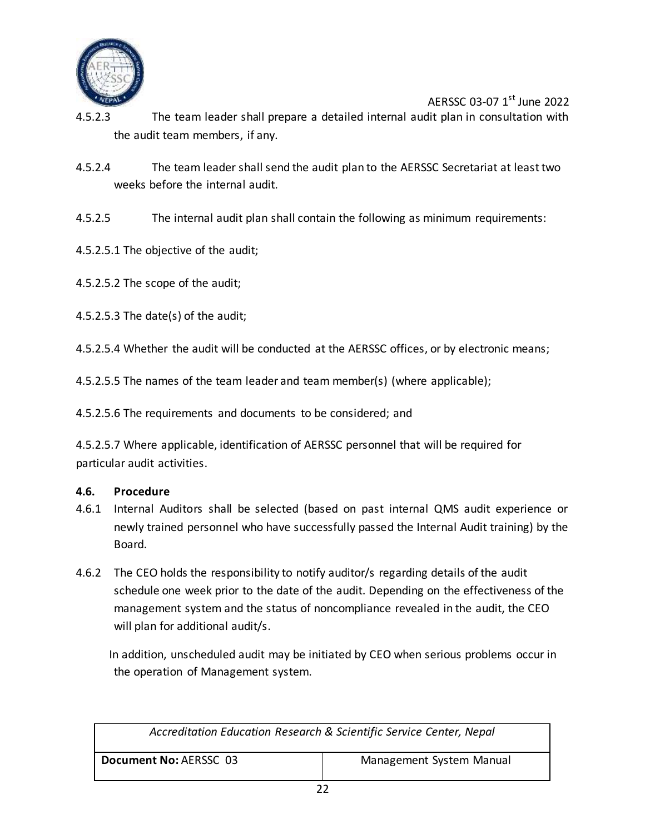

- 4.5.2.3 The team leader shall prepare a detailed internal audit plan in consultation with the audit team members, if any.
- 4.5.2.4 The team leader shall send the audit plan to the AERSSC Secretariat at least two weeks before the internal audit.
- 4.5.2.5 The internal audit plan shall contain the following as minimum requirements:
- 4.5.2.5.1 The objective of the audit;
- 4.5.2.5.2 The scope of the audit;
- 4.5.2.5.3 The date(s) of the audit;

4.5.2.5.4 Whether the audit will be conducted at the AERSSC offices, or by electronic means;

4.5.2.5.5 The names of the team leader and team member(s) (where applicable);

4.5.2.5.6 The requirements and documents to be considered; and

4.5.2.5.7 Where applicable, identification of AERSSC personnel that will be required for particular audit activities.

#### <span id="page-22-0"></span>**4.6. Procedure**

- 4.6.1 Internal Auditors shall be selected (based on past internal QMS audit experience or newly trained personnel who have successfully passed the Internal Audit training) by the Board.
- 4.6.2 The CEO holds the responsibility to notify auditor/s regarding details of the audit schedule one week prior to the date of the audit. Depending on the effectiveness of the management system and the status of noncompliance revealed in the audit, the CEO will plan for additional audit/s.

In addition, unscheduled audit may be initiated by CEO when serious problems occur in the operation of Management system.

| Accreditation Education Research & Scientific Service Center, Nepal |  |
|---------------------------------------------------------------------|--|
| Document No: AERSSC 03<br>Management System Manual                  |  |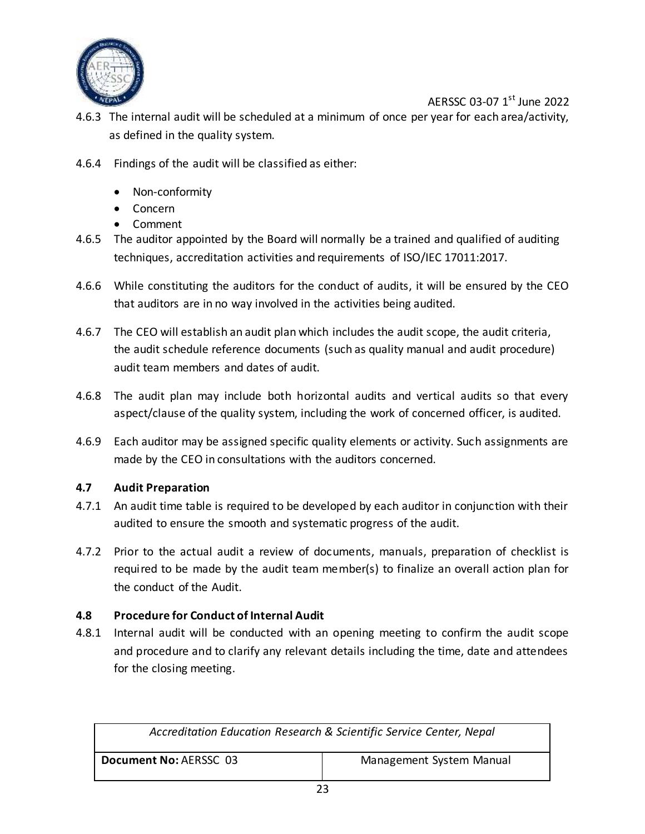

- 4.6.3 The internal audit will be scheduled at a minimum of once per year for each area/activity, as defined in the quality system.
- 4.6.4 Findings of the audit will be classified as either:
	- Non-conformity
	- Concern
	- Comment
- 4.6.5 The auditor appointed by the Board will normally be a trained and qualified of auditing techniques, accreditation activities and requirements of ISO/IEC 17011:2017.
- 4.6.6 While constituting the auditors for the conduct of audits, it will be ensured by the CEO that auditors are in no way involved in the activities being audited.
- 4.6.7 The CEO will establish an audit plan which includes the audit scope, the audit criteria, the audit schedule reference documents (such as quality manual and audit procedure) audit team members and dates of audit.
- 4.6.8 The audit plan may include both horizontal audits and vertical audits so that every aspect/clause of the quality system, including the work of concerned officer, is audited.
- 4.6.9 Each auditor may be assigned specific quality elements or activity. Such assignments are made by the CEO in consultations with the auditors concerned.

#### <span id="page-23-0"></span>**4.7 Audit Preparation**

- 4.7.1 An audit time table is required to be developed by each auditor in conjunction with their audited to ensure the smooth and systematic progress of the audit.
- 4.7.2 Prior to the actual audit a review of documents, manuals, preparation of checklist is required to be made by the audit team member(s) to finalize an overall action plan for the conduct of the Audit.

#### <span id="page-23-1"></span>**4.8 Procedure for Conduct of Internal Audit**

4.8.1 Internal audit will be conducted with an opening meeting to confirm the audit scope and procedure and to clarify any relevant details including the time, date and attendees for the closing meeting.

| Accreditation Education Research & Scientific Service Center, Nepal |  |
|---------------------------------------------------------------------|--|
| Document No: AERSSC 03<br>Management System Manual                  |  |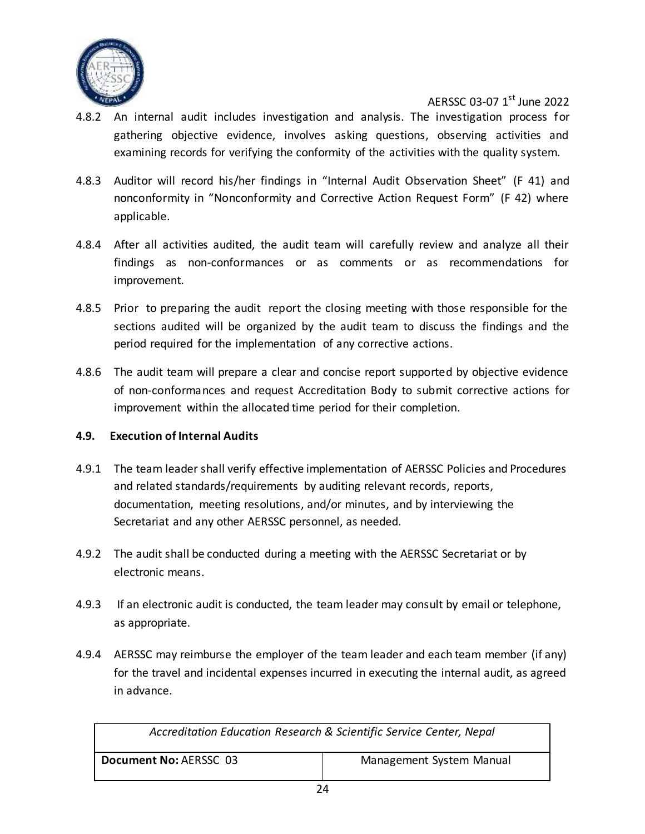

- 4.8.2 An internal audit includes investigation and analysis. The investigation process for gathering objective evidence, involves asking questions, observing activities and examining records for verifying the conformity of the activities with the quality system.
- 4.8.3 Auditor will record his/her findings in "Internal Audit Observation Sheet" (F 41) and nonconformity in "Nonconformity and Corrective Action Request Form" (F 42) where applicable.
- 4.8.4 After all activities audited, the audit team will carefully review and analyze all their findings as non-conformances or as comments or as recommendations for improvement.
- 4.8.5 Prior to preparing the audit report the closing meeting with those responsible for the sections audited will be organized by the audit team to discuss the findings and the period required for the implementation of any corrective actions.
- 4.8.6 The audit team will prepare a clear and concise report supported by objective evidence of non-conformances and request Accreditation Body to submit corrective actions for improvement within the allocated time period for their completion.

#### <span id="page-24-0"></span>**4.9. Execution of Internal Audits**

- 4.9.1 The team leader shall verify effective implementation of AERSSC Policies and Procedures and related standards/requirements by auditing relevant records, reports, documentation, meeting resolutions, and/or minutes, and by interviewing the Secretariat and any other AERSSC personnel, as needed.
- 4.9.2 The audit shall be conducted during a meeting with the AERSSC Secretariat or by electronic means.
- 4.9.3 If an electronic audit is conducted, the team leader may consult by email or telephone, as appropriate.
- 4.9.4 AERSSC may reimburse the employer of the team leader and each team member (if any) for the travel and incidental expenses incurred in executing the internal audit, as agreed in advance.

| Accreditation Education Research & Scientific Service Center, Nepal |                          |
|---------------------------------------------------------------------|--------------------------|
| Document No: AERSSC 03                                              | Management System Manual |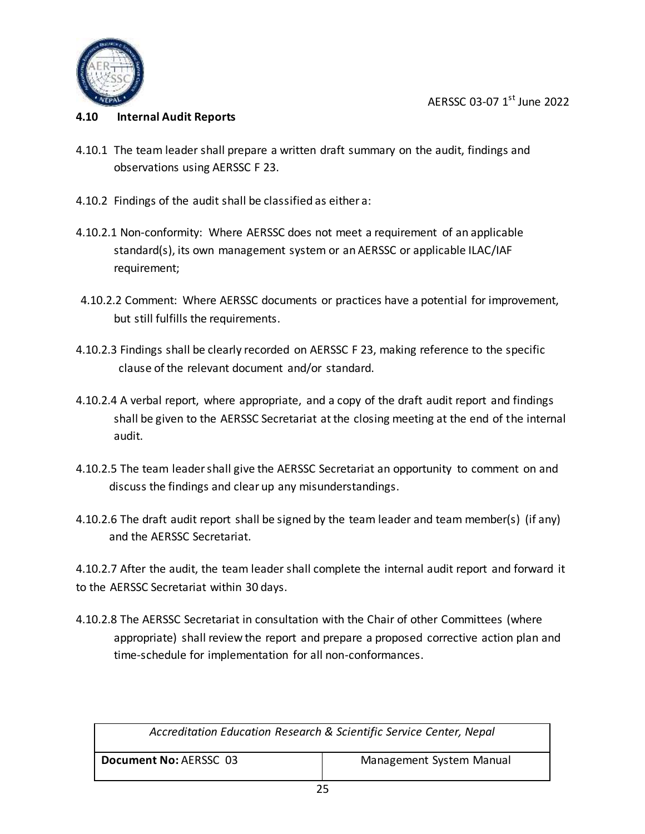



#### <span id="page-25-0"></span>**4.10 Internal Audit Reports**

- 4.10.1 The team leader shall prepare a written draft summary on the audit, findings and observations using AERSSC F 23.
- 4.10.2 Findings of the audit shall be classified as either a:
- 4.10.2.1 Non-conformity: Where AERSSC does not meet a requirement of an applicable standard(s), its own management system or an AERSSC or applicable ILAC/IAF requirement;
- 4.10.2.2 Comment: Where AERSSC documents or practices have a potential for improvement, but still fulfills the requirements.
- 4.10.2.3 Findings shall be clearly recorded on AERSSC F 23, making reference to the specific clause of the relevant document and/or standard.
- 4.10.2.4 A verbal report, where appropriate, and a copy of the draft audit report and findings shall be given to the AERSSC Secretariat at the closing meeting at the end of the internal audit.
- 4.10.2.5 The team leader shall give the AERSSC Secretariat an opportunity to comment on and discuss the findings and clear up any misunderstandings.
- 4.10.2.6 The draft audit report shall be signed by the team leader and team member(s) (if any) and the AERSSC Secretariat.

4.10.2.7 After the audit, the team leader shall complete the internal audit report and forward it to the AERSSC Secretariat within 30 days.

4.10.2.8 The AERSSC Secretariat in consultation with the Chair of other Committees (where appropriate) shall review the report and prepare a proposed corrective action plan and time-schedule for implementation for all non-conformances.

| Accreditation Education Research & Scientific Service Center, Nepal |                          |
|---------------------------------------------------------------------|--------------------------|
| Document No: AERSSC 03                                              | Management System Manual |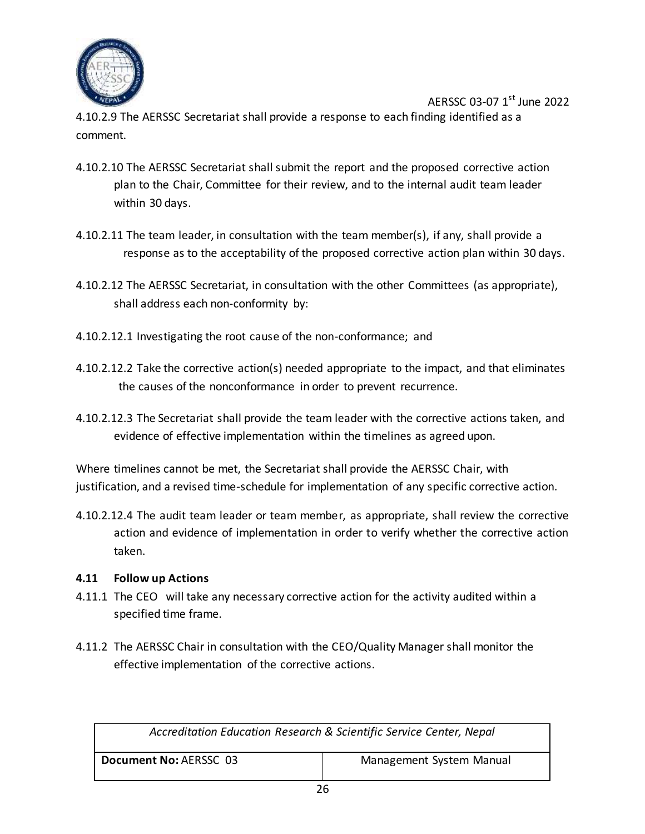

AERSSC 03-07 1<sup>st</sup> June 2022 4.10.2.9 The AERSSC Secretariat shall provide a response to each finding identified as a comment.

- 4.10.2.10 The AERSSC Secretariat shall submit the report and the proposed corrective action plan to the Chair, Committee for their review, and to the internal audit team leader within 30 days.
- 4.10.2.11 The team leader, in consultation with the team member(s), if any, shall provide a response as to the acceptability of the proposed corrective action plan within 30 days.
- 4.10.2.12 The AERSSC Secretariat, in consultation with the other Committees (as appropriate), shall address each non-conformity by:
- 4.10.2.12.1 Investigating the root cause of the non-conformance; and
- 4.10.2.12.2 Take the corrective action(s) needed appropriate to the impact, and that eliminates the causes of the nonconformance in order to prevent recurrence.
- 4.10.2.12.3 The Secretariat shall provide the team leader with the corrective actions taken, and evidence of effective implementation within the timelines as agreed upon.

Where timelines cannot be met, the Secretariat shall provide the AERSSC Chair, with justification, and a revised time-schedule for implementation of any specific corrective action.

4.10.2.12.4 The audit team leader or team member, as appropriate, shall review the corrective action and evidence of implementation in order to verify whether the corrective action taken.

#### <span id="page-26-0"></span>**4.11 Follow up Actions**

- 4.11.1 The CEO will take any necessary corrective action for the activity audited within a specified time frame.
- 4.11.2 The AERSSC Chair in consultation with the CEO/Quality Manager shall monitor the effective implementation of the corrective actions.

| Accreditation Education Research & Scientific Service Center, Nepal |                          |
|---------------------------------------------------------------------|--------------------------|
| Document No: AERSSC 03                                              | Management System Manual |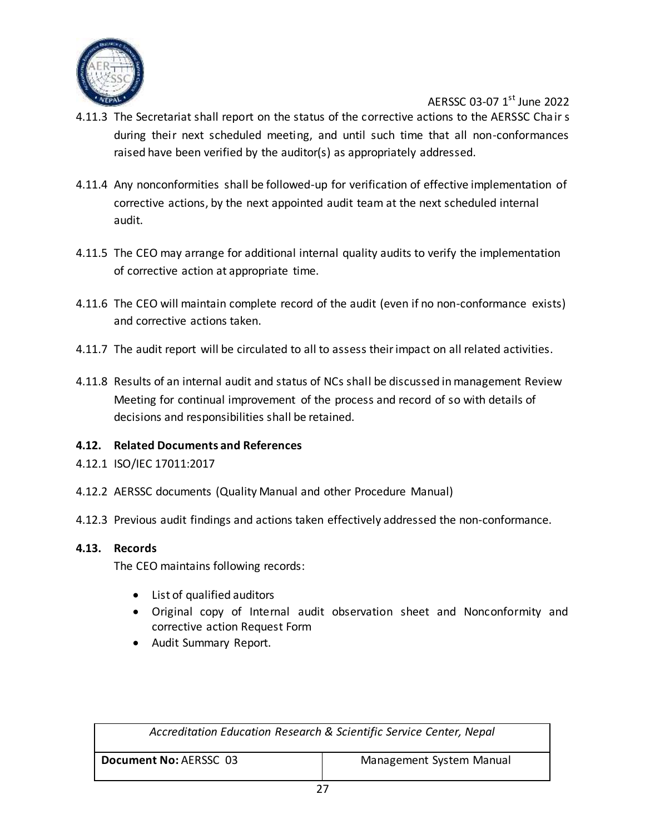

- 4.11.3 The Secretariat shall report on the status of the corrective actions to the AERSSC Chair s during their next scheduled meeting, and until such time that all non-conformances raised have been verified by the auditor(s) as appropriately addressed.
- 4.11.4 Any nonconformities shall be followed-up for verification of effective implementation of corrective actions, by the next appointed audit team at the next scheduled internal audit.
- 4.11.5 The CEO may arrange for additional internal quality audits to verify the implementation of corrective action at appropriate time.
- 4.11.6 The CEO will maintain complete record of the audit (even if no non-conformance exists) and corrective actions taken.
- 4.11.7 The audit report will be circulated to all to assess their impact on all related activities.
- 4.11.8 Results of an internal audit and status of NCs shall be discussed in management Review Meeting for continual improvement of the process and record of so with details of decisions and responsibilities shall be retained.

#### <span id="page-27-0"></span>**4.12. Related Documents and References**

- 4.12.1 ISO/IEC 17011:2017
- 4.12.2 AERSSC documents (Quality Manual and other Procedure Manual)
- 4.12.3 Previous audit findings and actions taken effectively addressed the non-conformance.

#### <span id="page-27-1"></span>**4.13. Records**

The CEO maintains following records:

- List of qualified auditors
- Original copy of Internal audit observation sheet and Nonconformity and corrective action Request Form
- Audit Summary Report.

| Accreditation Education Research & Scientific Service Center, Nepal |  |
|---------------------------------------------------------------------|--|
| Document No: AERSSC 03<br>Management System Manual                  |  |
| --                                                                  |  |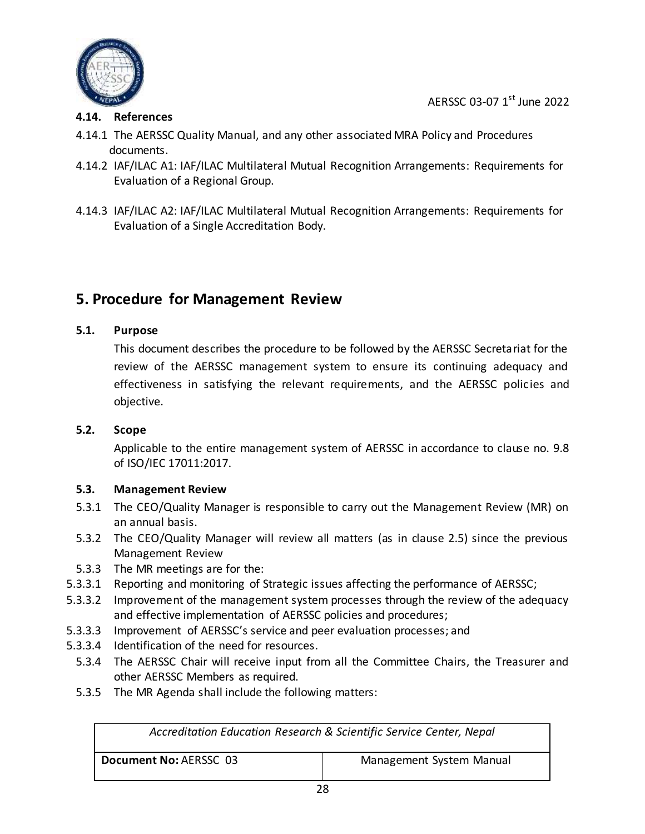

#### <span id="page-28-0"></span>**4.14. References**

- 4.14.1 The AERSSC Quality Manual, and any other associated MRA Policy and Procedures documents.
- 4.14.2 IAF/ILAC A1: IAF/ILAC Multilateral Mutual Recognition Arrangements: Requirements for Evaluation of a Regional Group.
- 4.14.3 IAF/ILAC A2: IAF/ILAC Multilateral Mutual Recognition Arrangements: Requirements for Evaluation of a Single Accreditation Body.

### <span id="page-28-1"></span>**5. Procedure for Management Review**

#### <span id="page-28-2"></span>**5.1. Purpose**

This document describes the procedure to be followed by the AERSSC Secretariat for the review of the AERSSC management system to ensure its continuing adequacy and effectiveness in satisfying the relevant requirements, and the AERSSC policies and objective.

#### <span id="page-28-3"></span>**5.2. Scope**

Applicable to the entire management system of AERSSC in accordance to clause no. 9.8 of ISO/IEC 17011:2017.

#### <span id="page-28-4"></span>**5.3. Management Review**

- 5.3.1 The CEO/Quality Manager is responsible to carry out the Management Review (MR) on an annual basis.
- 5.3.2 The CEO/Quality Manager will review all matters (as in clause 2.5) since the previous Management Review
- 5.3.3 The MR meetings are for the:
- 5.3.3.1 Reporting and monitoring of Strategic issues affecting the performance of AERSSC;
- 5.3.3.2 Improvement of the management system processes through the review of the adequacy and effective implementation of AERSSC policies and procedures;
- 5.3.3.3 Improvement of AERSSC's service and peer evaluation processes; and
- 5.3.3.4 Identification of the need for resources.
	- 5.3.4 The AERSSC Chair will receive input from all the Committee Chairs, the Treasurer and other AERSSC Members as required.
	- 5.3.5 The MR Agenda shall include the following matters:

| Accreditation Education Research & Scientific Service Center, Nepal |  |
|---------------------------------------------------------------------|--|
| Document No: AERSSC 03<br>Management System Manual                  |  |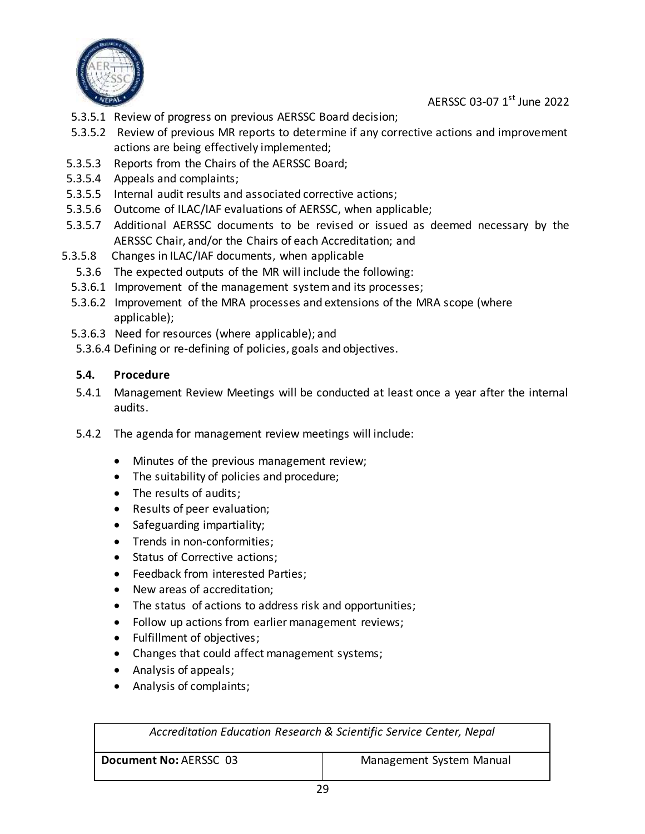

- 5.3.5.1 Review of progress on previous AERSSC Board decision;
- 5.3.5.2 Review of previous MR reports to determine if any corrective actions and improvement actions are being effectively implemented;
- 5.3.5.3 Reports from the Chairs of the AERSSC Board;
- 5.3.5.4 Appeals and complaints;
- 5.3.5.5 Internal audit results and associated corrective actions;
- 5.3.5.6 Outcome of ILAC/IAF evaluations of AERSSC, when applicable;
- 5.3.5.7 Additional AERSSC documents to be revised or issued as deemed necessary by the AERSSC Chair, and/or the Chairs of each Accreditation; and
- 5.3.5.8 Changes in ILAC/IAF documents, when applicable
	- 5.3.6 The expected outputs of the MR will include the following:
	- 5.3.6.1 Improvement of the management system and its processes;
	- 5.3.6.2 Improvement of the MRA processes and extensions of the MRA scope (where applicable);
	- 5.3.6.3 Need for resources (where applicable); and
	- 5.3.6.4 Defining or re-defining of policies, goals and objectives.

#### <span id="page-29-0"></span>**5.4. Procedure**

- 5.4.1 Management Review Meetings will be conducted at least once a year after the internal audits.
- 5.4.2 The agenda for management review meetings will include:
	- Minutes of the previous management review;
	- The suitability of policies and procedure;
	- The results of audits;
	- Results of peer evaluation;
	- Safeguarding impartiality;
	- Trends in non-conformities;
	- Status of Corrective actions;
	- Feedback from interested Parties;
	- New areas of accreditation;
	- The status of actions to address risk and opportunities;
	- Follow up actions from earlier management reviews;
	- Fulfillment of objectives;
	- Changes that could affect management systems;
	- Analysis of appeals;
	- Analysis of complaints;

| Accreditation Education Research & Scientific Service Center, Nepal |                          |  |
|---------------------------------------------------------------------|--------------------------|--|
| Document No: AERSSC 03                                              | Management System Manual |  |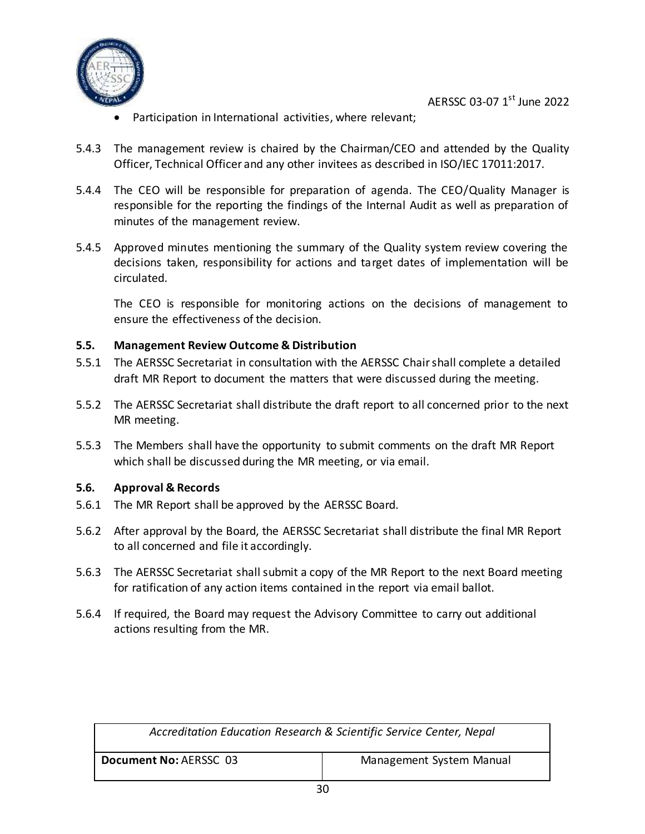

- Participation in International activities, where relevant;
- 5.4.3 The management review is chaired by the Chairman/CEO and attended by the Quality Officer, Technical Officer and any other invitees as described in ISO/IEC 17011:2017.
- 5.4.4 The CEO will be responsible for preparation of agenda. The CEO/Quality Manager is responsible for the reporting the findings of the Internal Audit as well as preparation of minutes of the management review.
- 5.4.5 Approved minutes mentioning the summary of the Quality system review covering the decisions taken, responsibility for actions and target dates of implementation will be circulated.

The CEO is responsible for monitoring actions on the decisions of management to ensure the effectiveness of the decision.

#### <span id="page-30-0"></span>**5.5. Management Review Outcome & Distribution**

- 5.5.1 The AERSSC Secretariat in consultation with the AERSSC Chair shall complete a detailed draft MR Report to document the matters that were discussed during the meeting.
- 5.5.2 The AERSSC Secretariat shall distribute the draft report to all concerned prior to the next MR meeting.
- 5.5.3 The Members shall have the opportunity to submit comments on the draft MR Report which shall be discussed during the MR meeting, or via email.

#### <span id="page-30-1"></span>**5.6. Approval & Records**

- 5.6.1 The MR Report shall be approved by the AERSSC Board.
- 5.6.2 After approval by the Board, the AERSSC Secretariat shall distribute the final MR Report to all concerned and file it accordingly.
- 5.6.3 The AERSSC Secretariat shall submit a copy of the MR Report to the next Board meeting for ratification of any action items contained in the report via email ballot.
- 5.6.4 If required, the Board may request the Advisory Committee to carry out additional actions resulting from the MR.

| Accreditation Education Research & Scientific Service Center, Nepal |  |
|---------------------------------------------------------------------|--|
| Document No: AERSSC 03<br>Management System Manual                  |  |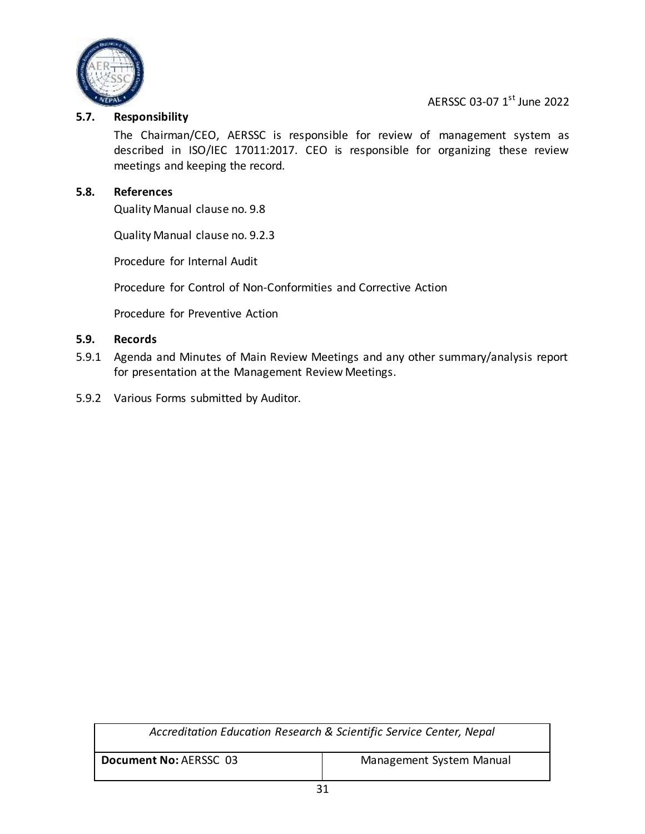

#### <span id="page-31-0"></span>**5.7. Responsibility**

The Chairman/CEO, AERSSC is responsible for review of management system as described in ISO/IEC 17011:2017. CEO is responsible for organizing these review meetings and keeping the record.

#### <span id="page-31-1"></span>**5.8. References**

Quality Manual clause no. 9.8

Quality Manual clause no. 9.2.3

Procedure for Internal Audit

Procedure for Control of Non-Conformities and Corrective Action

Procedure for Preventive Action

#### <span id="page-31-2"></span>**5.9. Records**

- 5.9.1 Agenda and Minutes of Main Review Meetings and any other summary/analysis report for presentation at the Management Review Meetings.
- 5.9.2 Various Forms submitted by Auditor.

| Accreditation Education Research & Scientific Service Center, Nepal |  |
|---------------------------------------------------------------------|--|
| Management System Manual<br>Document No: AERSSC 03                  |  |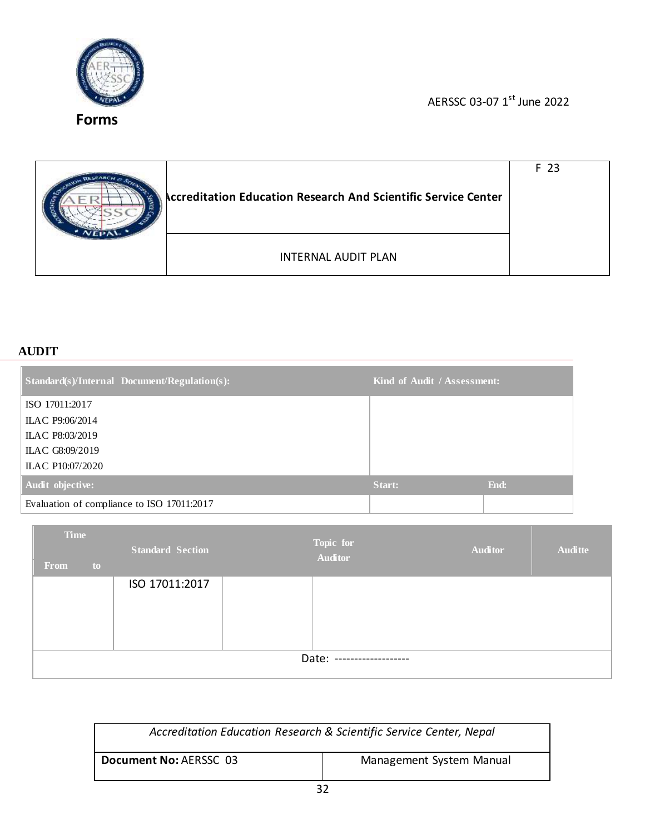

<span id="page-32-0"></span>**Forms**

AERSSC 03-07 1<sup>st</sup> June 2022

| <b>Accreditation Education Research And Scientific Service Center</b> |                            | F 23 |
|-----------------------------------------------------------------------|----------------------------|------|
|                                                                       | <b>INTERNAL AUDIT PLAN</b> |      |

#### **AUDIT**

| Standard(s)/Internal Document/Regulation(s): | Kind of Audit / Assessment: |      |
|----------------------------------------------|-----------------------------|------|
| ISO 17011:2017                               |                             |      |
| ILAC P9:06/2014                              |                             |      |
| ILAC P8:03/2019                              |                             |      |
| ILAC G8:09/2019                              |                             |      |
| ILAC P10:07/2020                             |                             |      |
| Audit objective:                             | Start:                      | End: |
| Evaluation of compliance to ISO 17011:2017   |                             |      |

| <b>Time</b><br><b>From</b><br>to | <b>Standard Section</b> |  | Topic for<br><b>Auditor</b> | <b>Auditor</b> | <b>Auditte</b> |
|----------------------------------|-------------------------|--|-----------------------------|----------------|----------------|
|                                  | ISO 17011:2017          |  |                             |                |                |
| Date: --------------------       |                         |  |                             |                |                |

| Accreditation Education Research & Scientific Service Center, Nepal |                          |
|---------------------------------------------------------------------|--------------------------|
| Document No: AERSSC 03                                              | Management System Manual |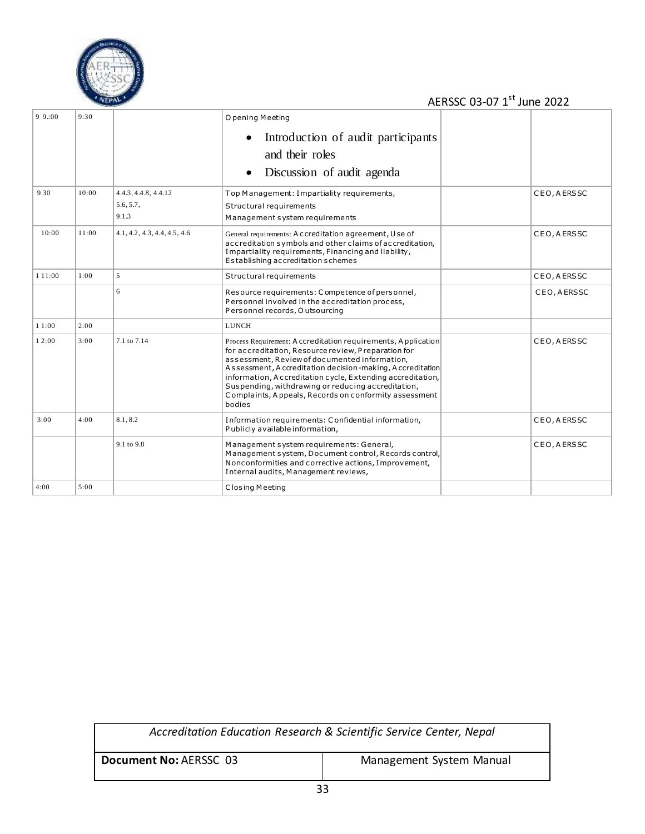

| 9.9:00    | 9:30  |                              | O pening Meeting                                                                                                                                                                                                                                                                                                                                                                                                           |              |
|-----------|-------|------------------------------|----------------------------------------------------------------------------------------------------------------------------------------------------------------------------------------------------------------------------------------------------------------------------------------------------------------------------------------------------------------------------------------------------------------------------|--------------|
|           |       |                              | Introduction of audit participants                                                                                                                                                                                                                                                                                                                                                                                         |              |
|           |       |                              | and their roles                                                                                                                                                                                                                                                                                                                                                                                                            |              |
|           |       |                              | Discussion of audit agenda                                                                                                                                                                                                                                                                                                                                                                                                 |              |
| 9.30      | 10:00 | 4.4.3, 4.4.8, 4.4.12         | Top Management: Impartiality requirements,                                                                                                                                                                                                                                                                                                                                                                                 | CEO, AERSSC  |
|           |       | 5.6, 5.7,                    | Structural requirements                                                                                                                                                                                                                                                                                                                                                                                                    |              |
|           |       | 9.1.3                        | Management system requirements                                                                                                                                                                                                                                                                                                                                                                                             |              |
| 10:00     | 11:00 | 4.1, 4.2, 4.3, 4.4, 4.5, 4.6 | General requirements: A c creditation agreement, U se of<br>accreditation symbols and other claims of accreditation,<br>Impartiality requirements, Financing and liability,<br>Establishing accreditation schemes                                                                                                                                                                                                          | CEO, AERSSC  |
| 1 1 1 :00 | 1:00  | 5                            | Structural requirements                                                                                                                                                                                                                                                                                                                                                                                                    | CEO, A ERSSC |
|           |       | 6                            | Resource requirements: Competence of personnel,<br>Personnel involved in the accreditation process,<br>Personnel records, O utsourcing                                                                                                                                                                                                                                                                                     | CEO, AERSSC  |
| 11:00     | 2:00  |                              | LUNCH                                                                                                                                                                                                                                                                                                                                                                                                                      |              |
| 12:00     | 3:00  | 7.1 to 7.14                  | Process Requirement: A ccreditation requirements, A pplication<br>for accreditation, Resource review, Preparation for<br>assessment, Review of documented information,<br>Assessment, Accreditation decision-making, Accreditation<br>information, A ccreditation cycle, Extending accreditation,<br>Suspending, withdrawing or reducing accreditation,<br>Complaints, Appeals, Records on conformity assessment<br>bodies | CEO, AERSSC  |
| 3:00      | 4:00  | 8.1, 8.2                     | Information requirements: Confidential information,<br>Publicly available information,                                                                                                                                                                                                                                                                                                                                     | CEO, A ERSSC |
|           |       | 9.1 to 9.8                   | Management system requirements: General,<br>Management system, Document control, Records control,<br>Nonconformities and corrective actions, Improvement,<br>Internal audits, Management reviews,                                                                                                                                                                                                                          | CEO, A ERSSC |
| 4:00      | 5:00  |                              | Closing Meeting                                                                                                                                                                                                                                                                                                                                                                                                            |              |

| Accreditation Education Research & Scientific Service Center, Nepal |  |
|---------------------------------------------------------------------|--|
| Document No: AERSSC 03<br>Management System Manual                  |  |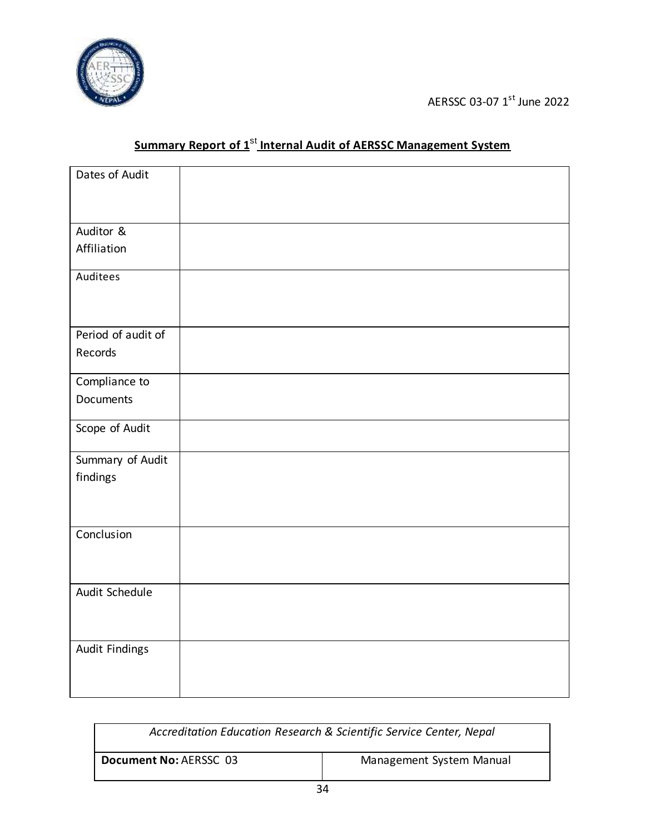

| Dates of Audit     |  |
|--------------------|--|
| Auditor &          |  |
| Affiliation        |  |
| Auditees           |  |
| Period of audit of |  |
| Records            |  |
| Compliance to      |  |
| Documents          |  |
| Scope of Audit     |  |
| Summary of Audit   |  |
| findings           |  |
| Conclusion         |  |
|                    |  |
| Audit Schedule     |  |
| Audit Findings     |  |

# **Summary Report of 1<sup>st</sup> Internal Audit of AERSSC Management System**

| Accreditation Education Research & Scientific Service Center, Nepal |  |
|---------------------------------------------------------------------|--|
| Document No: AERSSC 03<br>Management System Manual                  |  |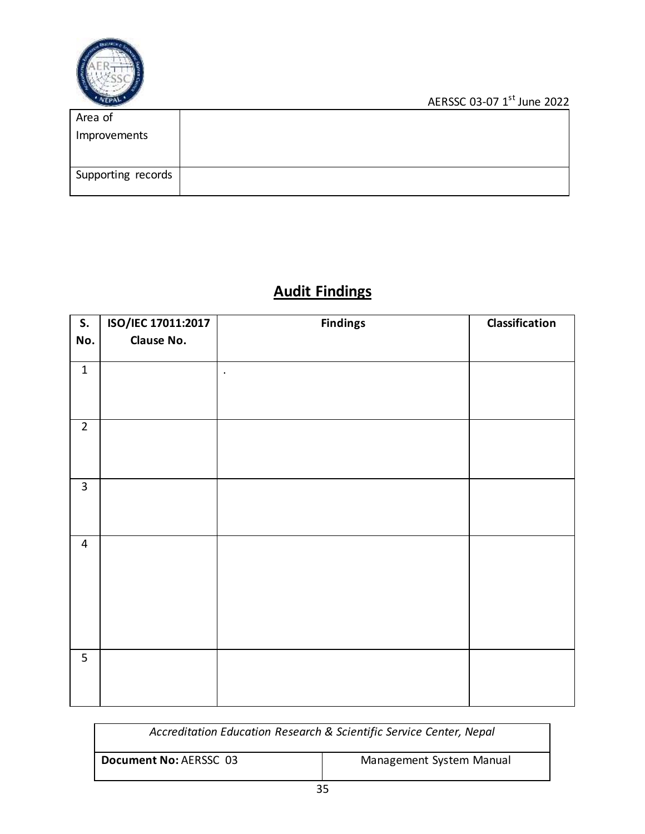

| Area of            |  |
|--------------------|--|
| Improvements       |  |
| Supporting records |  |

# **Audit Findings**

| S.                      | ISO/IEC 17011:2017 | <b>Findings</b> | Classification |
|-------------------------|--------------------|-----------------|----------------|
| No.                     | Clause No.         |                 |                |
| $\mathbf 1$             |                    | $\bullet$       |                |
| $\overline{2}$          |                    |                 |                |
| $\overline{3}$          |                    |                 |                |
| $\overline{\mathbf{4}}$ |                    |                 |                |
| 5                       |                    |                 |                |

| Accreditation Education Research & Scientific Service Center, Nepal |                          |
|---------------------------------------------------------------------|--------------------------|
| Document No: AERSSC 03                                              | Management System Manual |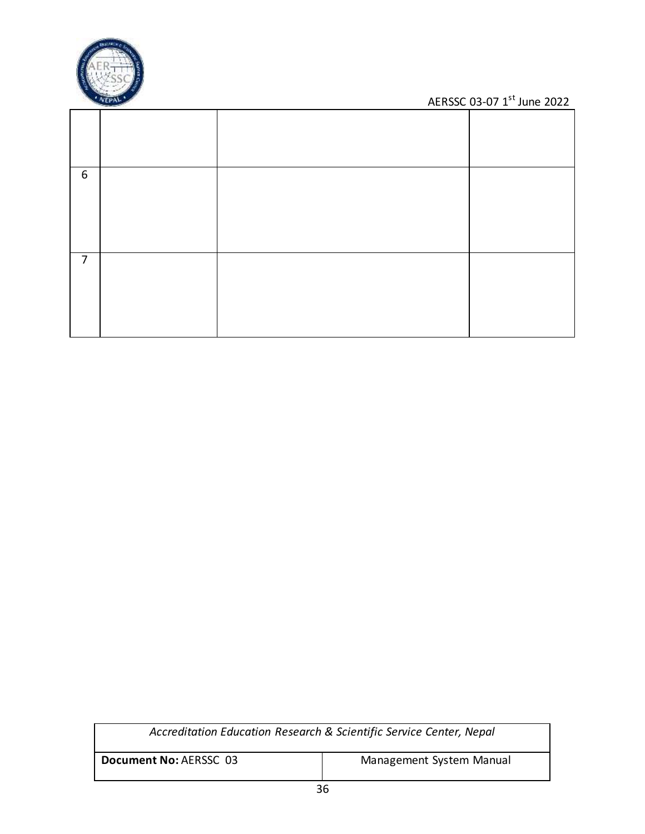

| 6 |  |  |
|---|--|--|
| 7 |  |  |

| Accreditation Education Research & Scientific Service Center, Nepal |  |  |
|---------------------------------------------------------------------|--|--|
| Management System Manual<br>Document No: AERSSC 03                  |  |  |
| ~~                                                                  |  |  |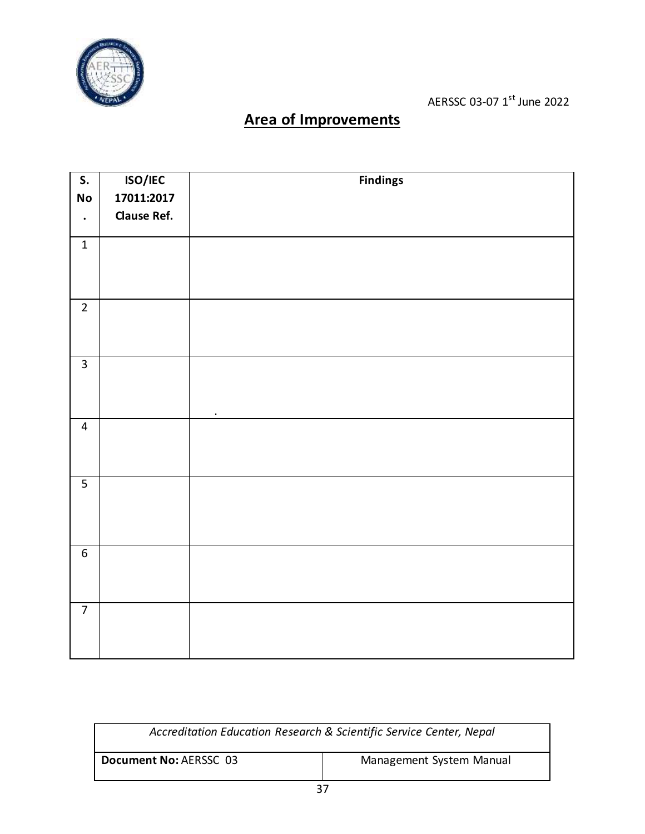

# **Area of Improvements**

| $\overline{\mathsf{S}}$ . | ISO/IEC            | <b>Findings</b> |
|---------------------------|--------------------|-----------------|
| <b>No</b>                 | 17011:2017         |                 |
| $\ddot{\phantom{0}}$      | <b>Clause Ref.</b> |                 |
| $\mathbf{1}$              |                    |                 |
|                           |                    |                 |
| $\overline{2}$            |                    |                 |
| $\overline{3}$            |                    | $\bullet$       |
| $\overline{4}$            |                    |                 |
| $\overline{5}$            |                    |                 |
| $\sqrt{6}$                |                    |                 |
| $\overline{7}$            |                    |                 |

| Accreditation Education Research & Scientific Service Center, Nepal |                          |  |
|---------------------------------------------------------------------|--------------------------|--|
| Document No: AERSSC 03                                              | Management System Manual |  |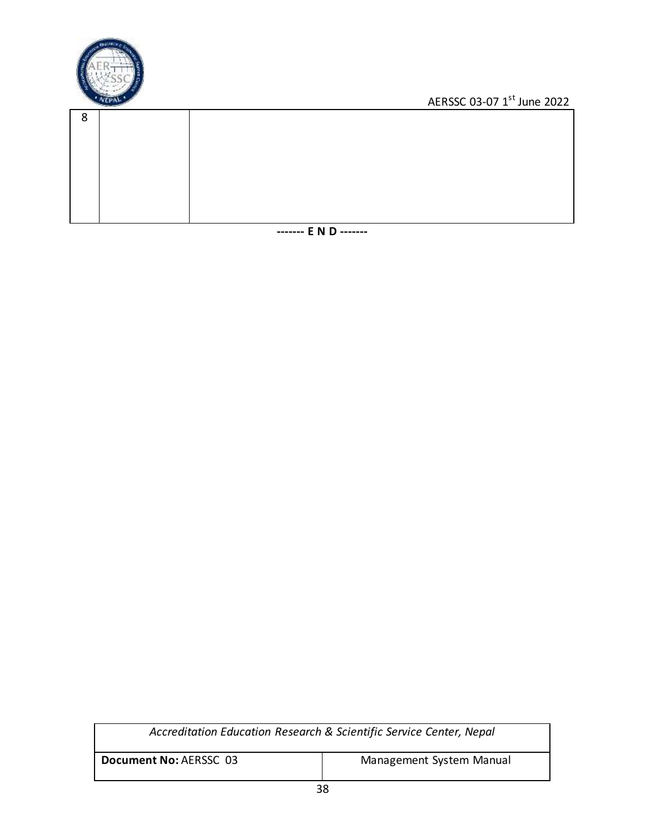

| $\circ$<br>C |  |
|--------------|--|
|              |  |
|              |  |
|              |  |
|              |  |
|              |  |
|              |  |

**------- E N D -------**

| Accreditation Education Research & Scientific Service Center, Nepal |                          |  |
|---------------------------------------------------------------------|--------------------------|--|
| Document No: AERSSC 03                                              | Management System Manual |  |
| $\sim$                                                              |                          |  |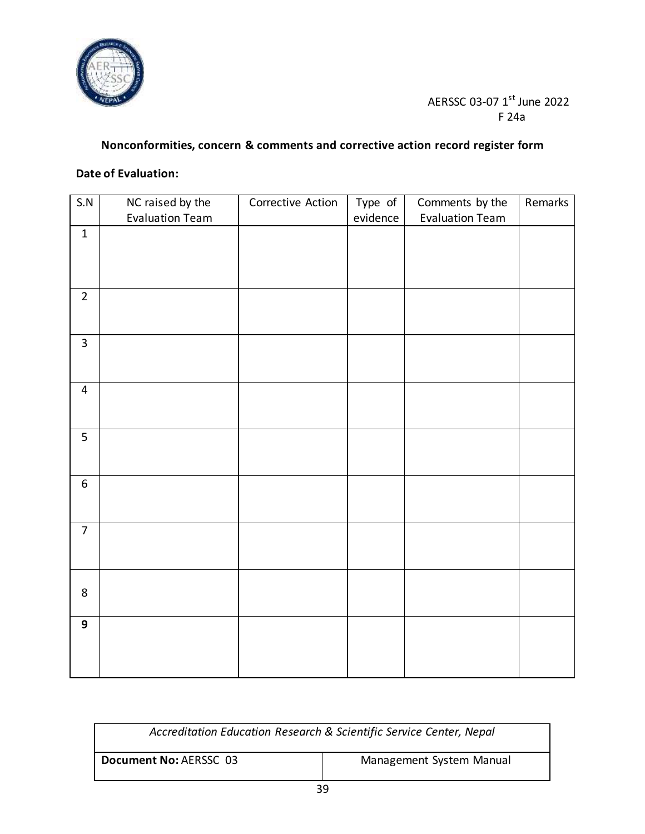

#### AERSSC 03-07 1<sup>st</sup> June 2022 F 24a

### **Nonconformities, concern & comments and corrective action record register form**

#### **Date of Evaluation:**

| S.N            | NC raised by the       | Corrective Action | Type of  | Comments by the        | Remarks |
|----------------|------------------------|-------------------|----------|------------------------|---------|
|                | <b>Evaluation Team</b> |                   | evidence | <b>Evaluation Team</b> |         |
| $\mathbf{1}$   |                        |                   |          |                        |         |
|                |                        |                   |          |                        |         |
|                |                        |                   |          |                        |         |
|                |                        |                   |          |                        |         |
| $\overline{2}$ |                        |                   |          |                        |         |
|                |                        |                   |          |                        |         |
|                |                        |                   |          |                        |         |
| $\overline{3}$ |                        |                   |          |                        |         |
|                |                        |                   |          |                        |         |
|                |                        |                   |          |                        |         |
| $\overline{4}$ |                        |                   |          |                        |         |
|                |                        |                   |          |                        |         |
|                |                        |                   |          |                        |         |
| 5              |                        |                   |          |                        |         |
|                |                        |                   |          |                        |         |
|                |                        |                   |          |                        |         |
| 6              |                        |                   |          |                        |         |
|                |                        |                   |          |                        |         |
|                |                        |                   |          |                        |         |
| $\overline{7}$ |                        |                   |          |                        |         |
|                |                        |                   |          |                        |         |
|                |                        |                   |          |                        |         |
|                |                        |                   |          |                        |         |
| 8              |                        |                   |          |                        |         |
|                |                        |                   |          |                        |         |
| 9              |                        |                   |          |                        |         |
|                |                        |                   |          |                        |         |
|                |                        |                   |          |                        |         |
|                |                        |                   |          |                        |         |
|                |                        |                   |          |                        |         |

| Accreditation Education Research & Scientific Service Center, Nepal |                          |  |
|---------------------------------------------------------------------|--------------------------|--|
| Document No: AERSSC 03                                              | Management System Manual |  |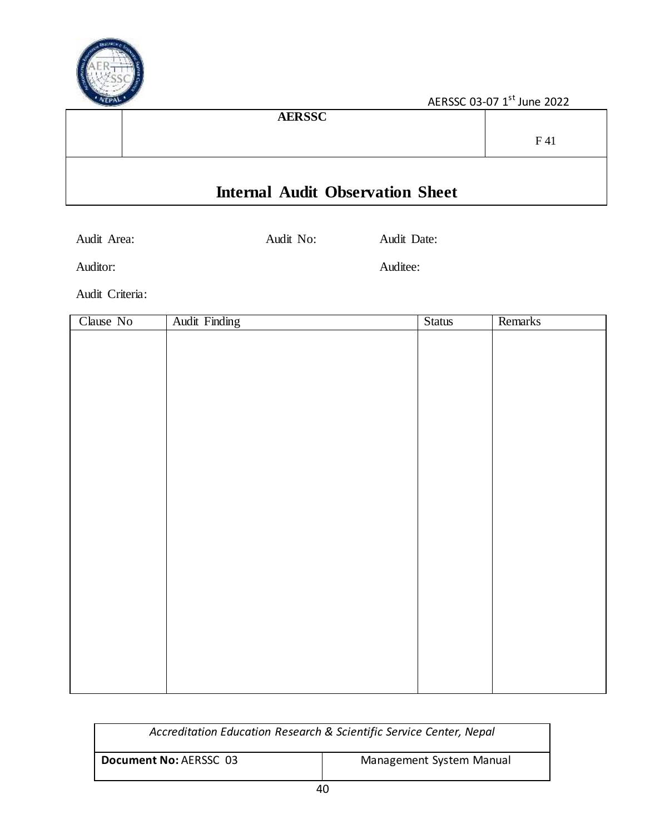

| <b>AERSSC</b>                           |     |
|-----------------------------------------|-----|
|                                         | F41 |
|                                         |     |
| <b>Internal Audit Observation Sheet</b> |     |

Audit Area: Audit No: Audit Date:

Auditor: Auditor: Auditor: Auditor: Auditor: Auditor: Auditor: Auditor: Auditor: Auditor: Auditor: Auditor: Auditor: Auditor: Auditor: Auditor: Auditor: Auditor: Auditor: Auditor: Auditor: Auditor: Auditor: Auditor: Audito

Audit Criteria:

| Clause No | <b>Audit Finding</b> | <b>Status</b> | Remarks |
|-----------|----------------------|---------------|---------|
|           |                      |               |         |
|           |                      |               |         |
|           |                      |               |         |
|           |                      |               |         |
|           |                      |               |         |
|           |                      |               |         |
|           |                      |               |         |
|           |                      |               |         |
|           |                      |               |         |
|           |                      |               |         |
|           |                      |               |         |
|           |                      |               |         |
|           |                      |               |         |
|           |                      |               |         |
|           |                      |               |         |
|           |                      |               |         |
|           |                      |               |         |
|           |                      |               |         |
|           |                      |               |         |
|           |                      |               |         |
|           |                      |               |         |
|           |                      |               |         |
|           |                      |               |         |

| Accreditation Education Research & Scientific Service Center, Nepal |                          |  |
|---------------------------------------------------------------------|--------------------------|--|
| Document No: AERSSC 03                                              | Management System Manual |  |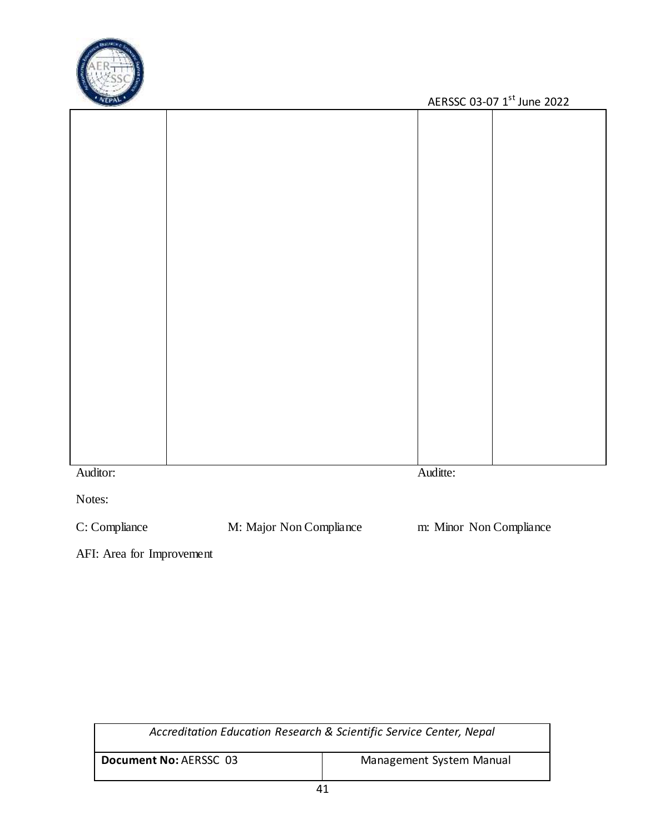

| <b><i><u>Concerned</u></i></b> |          | 7.42332030712301122022 |
|--------------------------------|----------|------------------------|
|                                |          |                        |
|                                |          |                        |
|                                |          |                        |
|                                |          |                        |
|                                |          |                        |
|                                |          |                        |
|                                |          |                        |
|                                |          |                        |
|                                |          |                        |
|                                |          |                        |
|                                |          |                        |
|                                |          |                        |
|                                |          |                        |
|                                |          |                        |
|                                |          |                        |
|                                |          |                        |
|                                |          |                        |
|                                |          |                        |
|                                |          |                        |
|                                |          |                        |
|                                |          |                        |
|                                |          |                        |
|                                |          |                        |
|                                |          |                        |
|                                |          |                        |
| Auditor:                       | Auditte: |                        |
| Notes:                         |          |                        |
|                                |          |                        |

C: Compliance M: Major Non Compliance m: Minor Non Compliance

AFI: Area for Improvement

| Accreditation Education Research & Scientific Service Center, Nepal |                          |  |
|---------------------------------------------------------------------|--------------------------|--|
| Document No: AERSSC 03                                              | Management System Manual |  |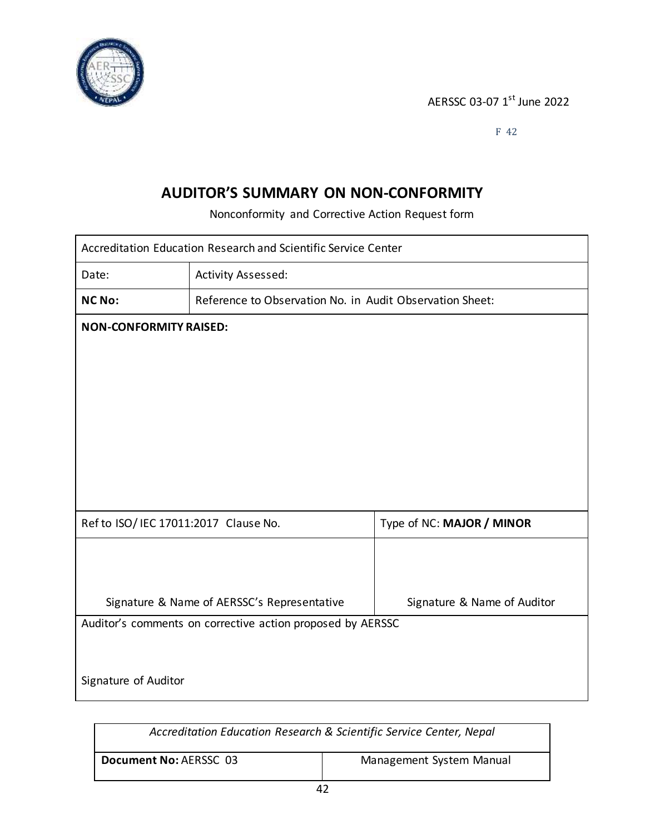

F 42

### **AUDITOR'S SUMMARY ON NON-CONFORMITY**

Nonconformity and Corrective Action Request form

| Accreditation Education Research and Scientific Service Center |                                                          |                             |  |
|----------------------------------------------------------------|----------------------------------------------------------|-----------------------------|--|
| Date:                                                          | Activity Assessed:                                       |                             |  |
| <b>NC No:</b>                                                  | Reference to Observation No. in Audit Observation Sheet: |                             |  |
| <b>NON-CONFORMITY RAISED:</b>                                  |                                                          |                             |  |
|                                                                |                                                          |                             |  |
|                                                                |                                                          |                             |  |
|                                                                |                                                          |                             |  |
|                                                                |                                                          |                             |  |
|                                                                |                                                          |                             |  |
|                                                                |                                                          |                             |  |
| Ref to ISO/ IEC 17011:2017 Clause No.                          |                                                          | Type of NC: MAJOR / MINOR   |  |
|                                                                |                                                          |                             |  |
|                                                                |                                                          |                             |  |
|                                                                | Signature & Name of AERSSC's Representative              | Signature & Name of Auditor |  |
| Auditor's comments on corrective action proposed by AERSSC     |                                                          |                             |  |
|                                                                |                                                          |                             |  |
| Signature of Auditor                                           |                                                          |                             |  |

| Accreditation Education Research & Scientific Service Center, Nepal |                          |
|---------------------------------------------------------------------|--------------------------|
| Document No: AERSSC 03                                              | Management System Manual |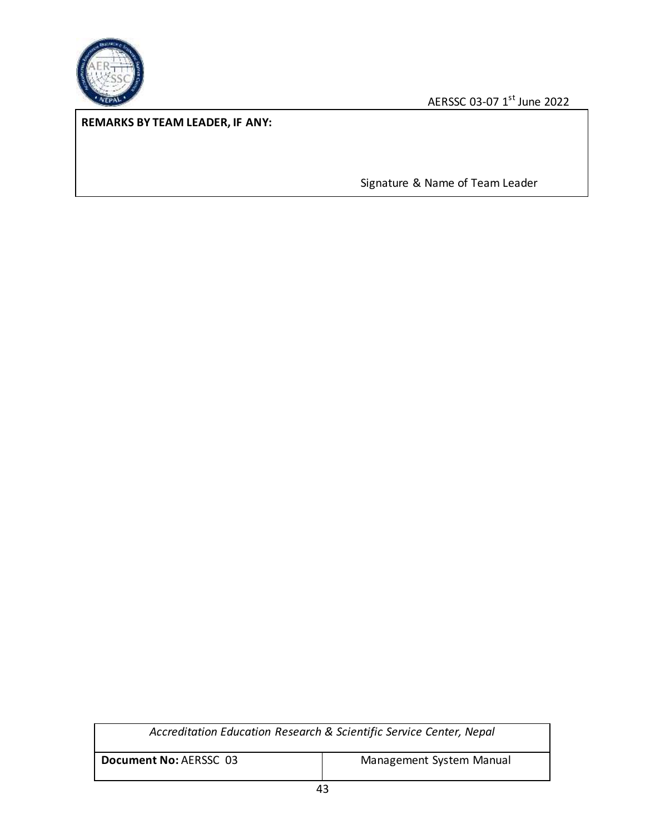

#### **REMARKS BY TEAM LEADER, IF ANY:**

Signature & Name of Team Leader

| Accreditation Education Research & Scientific Service Center, Nepal |                          |
|---------------------------------------------------------------------|--------------------------|
| Document No: AERSSC 03                                              | Management System Manual |
| $\sim$                                                              |                          |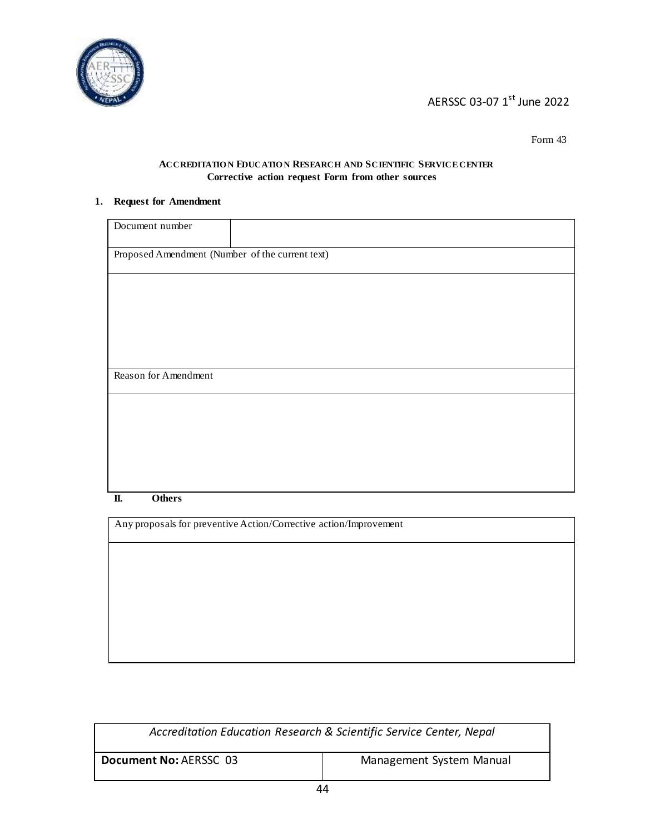

Form 43

#### **ACCREDITATIO N EDUCATIO N RESEARCH AND SCIENTIFIC SERVICE CENTER Corrective action request Form from other sources**

#### **1. Request for Amendment**

| Document number                                                   |  |  |
|-------------------------------------------------------------------|--|--|
| Proposed Amendment (Number of the current text)                   |  |  |
|                                                                   |  |  |
|                                                                   |  |  |
|                                                                   |  |  |
|                                                                   |  |  |
| Reason for Amendment                                              |  |  |
|                                                                   |  |  |
|                                                                   |  |  |
|                                                                   |  |  |
|                                                                   |  |  |
|                                                                   |  |  |
| <b>Others</b><br>П.                                               |  |  |
|                                                                   |  |  |
| Any proposals for preventive Action/Corrective action/Improvement |  |  |

| Accreditation Education Research & Scientific Service Center, Nepal |                          |
|---------------------------------------------------------------------|--------------------------|
| Document No: AERSSC 03                                              | Management System Manual |